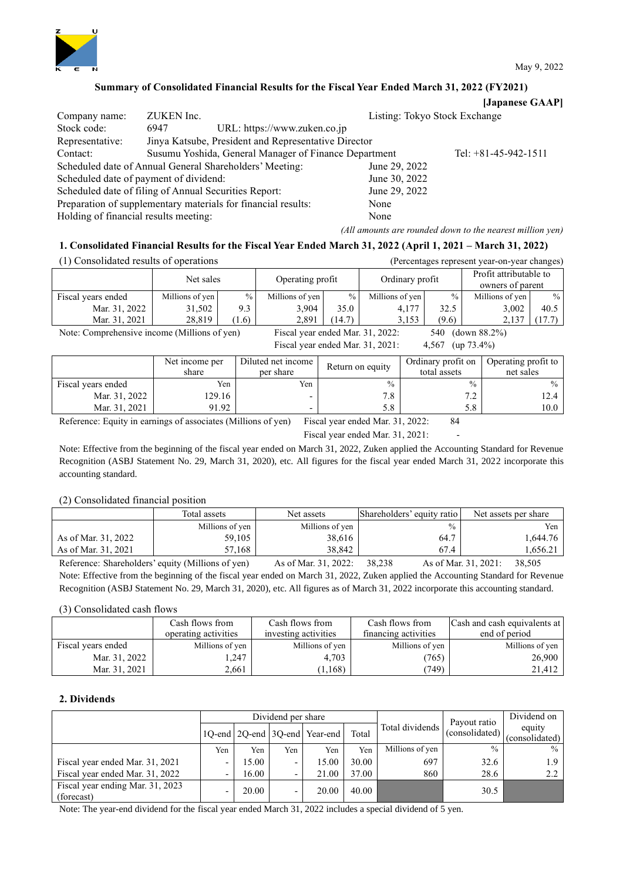

# **Summary of Consolidated Financial Results for the Fiscal Year Ended March 31, 2022 (FY2021)**

#### **[Japanese GAAP]**

| Company name:                          | ZUKEN Inc.                                                    |                                                       | Listing: Tokyo Stock Exchange |                                                                                                                                                                                                                                                                                                                                    |
|----------------------------------------|---------------------------------------------------------------|-------------------------------------------------------|-------------------------------|------------------------------------------------------------------------------------------------------------------------------------------------------------------------------------------------------------------------------------------------------------------------------------------------------------------------------------|
| Stock code:                            | 6947                                                          | URL: https://www.zuken.co.jp                          |                               |                                                                                                                                                                                                                                                                                                                                    |
| Representative:                        |                                                               | Jinya Katsube, President and Representative Director  |                               |                                                                                                                                                                                                                                                                                                                                    |
| Contact:                               |                                                               | Susumu Yoshida, General Manager of Finance Department |                               | Tel: $+81-45-942-1511$                                                                                                                                                                                                                                                                                                             |
|                                        | Scheduled date of Annual General Shareholders' Meeting:       |                                                       | June 29, 2022                 |                                                                                                                                                                                                                                                                                                                                    |
| Scheduled date of payment of dividend: |                                                               |                                                       | June 30, 2022                 |                                                                                                                                                                                                                                                                                                                                    |
|                                        | Scheduled date of filing of Annual Securities Report:         |                                                       | June 29, 2022                 |                                                                                                                                                                                                                                                                                                                                    |
|                                        | Preparation of supplementary materials for financial results: |                                                       | None                          |                                                                                                                                                                                                                                                                                                                                    |
| Holding of financial results meeting:  |                                                               |                                                       | None                          |                                                                                                                                                                                                                                                                                                                                    |
|                                        |                                                               |                                                       | $\angle$ 4.11 $\angle$        | $\mathbf{1}$ $\mathbf{1}$ $\mathbf{1}$ $\mathbf{1}$ $\mathbf{1}$ $\mathbf{1}$ $\mathbf{1}$ $\mathbf{1}$ $\mathbf{1}$ $\mathbf{1}$ $\mathbf{1}$ $\mathbf{1}$ $\mathbf{1}$ $\mathbf{1}$ $\mathbf{1}$ $\mathbf{1}$ $\mathbf{1}$ $\mathbf{1}$ $\mathbf{1}$ $\mathbf{1}$ $\mathbf{1}$ $\mathbf{1}$ $\mathbf{1}$ $\mathbf{1}$ $\mathbf{$ |

#### *(All amounts are rounded down to the nearest million yen)*

#### **1. Consolidated Financial Results for the Fiscal Year Ended March 31, 2022 (April 1, 2021 – March 31, 2022)**

| (1) Consolidated results of operations                     |                 |       |                                  |        |                 |       | (Percentages represent year-on-year changes) |               |
|------------------------------------------------------------|-----------------|-------|----------------------------------|--------|-----------------|-------|----------------------------------------------|---------------|
|                                                            | Net sales       |       | Operating profit                 |        | Ordinary profit |       | Profit attributable to<br>owners of parent   |               |
| Fiscal years ended                                         | Millions of yen | $\%$  | Millions of yen                  | $\%$   | Millions of yen | $\%$  | Millions of yen                              | $\frac{0}{0}$ |
| Mar. 31, 2022                                              | 31,502          | 9.3   | 3.904                            | 35.0   | 4,177           | 32.5  | 3,002                                        | 40.5          |
| Mar. 31, 2021                                              | 28,819          | (1.6) | 2,891                            | (14.7) | 3,153           | (9.6) | 2,137                                        | (17.7)        |
| Note: Comprehensive income (Millions of yen)               |                 |       | Fiscal year ended Mar. 31, 2022: |        |                 | 540   | (down 88.2%)                                 |               |
| Fiscal year ended Mar. 31, 2021:<br>$(up 73.4\%)$<br>4.567 |                 |       |                                  |        |                 |       |                                              |               |
|                                                            |                 |       |                                  |        |                 |       |                                              |               |

|                    | Net income per<br>share | Diluted net income<br>per share | Return on equity | Ordinary profit on<br>total assets | Operating profit to<br>net sales |
|--------------------|-------------------------|---------------------------------|------------------|------------------------------------|----------------------------------|
| Fiscal years ended | Yen                     | Yen                             | $\frac{0}{0}$    | $\frac{0}{0}$                      | $\frac{0}{0}$                    |
| Mar. 31, 2022      | 29.16                   |                                 | 7.8              | $\overline{\phantom{a}}$           | 12.4                             |
| Mar. 31, 2021      | 91.92                   |                                 | 5.8              | 5.8                                | 10.0                             |

Reference: Equity in earnings of associates (Millions of yen) Fiscal year ended Mar. 31, 2022: 84

Fiscal year ended Mar. 31, 2021:

Note: Effective from the beginning of the fiscal year ended on March 31, 2022, Zuken applied the Accounting Standard for Revenue Recognition (ASBJ Statement No. 29, March 31, 2020), etc. All figures for the fiscal year ended March 31, 2022 incorporate this accounting standard.

#### (2) Consolidated financial position

|                     | Total assets    | Net assets      | Shareholders' equity ratio | Net assets per share |
|---------------------|-----------------|-----------------|----------------------------|----------------------|
|                     | Millions of yen | Millions of yen | $\frac{0}{0}$              | Yen.                 |
| As of Mar. 31, 2022 | 59,105          | 38,616          | 64.7                       | 1,644.76             |
| As of Mar. 31, 2021 | 57.168          | 38.842          | 67.4                       | .656.21              |
|                     |                 |                 |                            |                      |

Reference: Shareholders' equity (Millions of yen) As of Mar. 31, 2022: 38,238 As of Mar. 31, 2021: 38,505 Note: Effective from the beginning of the fiscal year ended on March 31, 2022, Zuken applied the Accounting Standard for Revenue Recognition (ASBJ Statement No. 29, March 31, 2020), etc. All figures as of March 31, 2022 incorporate this accounting standard.

#### (3) Consolidated cash flows

|                    | Cash flows from<br>operating activities | Cash flows from<br>investing activities | Cash flows from<br>financing activities | Cash and cash equivalents at<br>end of period |
|--------------------|-----------------------------------------|-----------------------------------------|-----------------------------------------|-----------------------------------------------|
| Fiscal years ended | Millions of yen                         | Millions of yen                         | Millions of yen                         | Millions of yen                               |
| Mar. 31, 2022      | 247.ء                                   | 4,703                                   | (765)                                   | 26,900                                        |
| Mar. 31, 2021      | 2.661                                   | (1, 168)                                | (749)                                   | 21.412                                        |

#### **2. Dividends**

|                                                |                          |       | Dividend per share       |                               |       |                 | Payout ratio   | Dividend on              |
|------------------------------------------------|--------------------------|-------|--------------------------|-------------------------------|-------|-----------------|----------------|--------------------------|
|                                                |                          |       |                          | 1Q-end 2Q-end 3Q-end Year-end | Total | Total dividends | (consolidated) | equity<br>(consolidated) |
|                                                | Yen                      | Yen   | Yen                      | Yen                           | Yen   | Millions of yen | $\frac{0}{0}$  | $\%$                     |
| Fiscal year ended Mar. 31, 2021                | $\overline{\phantom{0}}$ | 15.00 | $\overline{\phantom{0}}$ | 15.00                         | 30.00 | 697             | 32.6           | 1.9                      |
| Fiscal year ended Mar. 31, 2022                | $\overline{\phantom{0}}$ | 16.00 | $\overline{\phantom{0}}$ | 21.00                         | 37.00 | 860             | 28.6           | 2.2                      |
| Fiscal year ending Mar. 31, 2023<br>(forecast) | $\overline{\phantom{0}}$ | 20.00 | $\overline{\phantom{0}}$ | 20.00                         | 40.00 |                 | 30.5           |                          |

Note: The year-end dividend for the fiscal year ended March 31, 2022 includes a special dividend of 5 yen.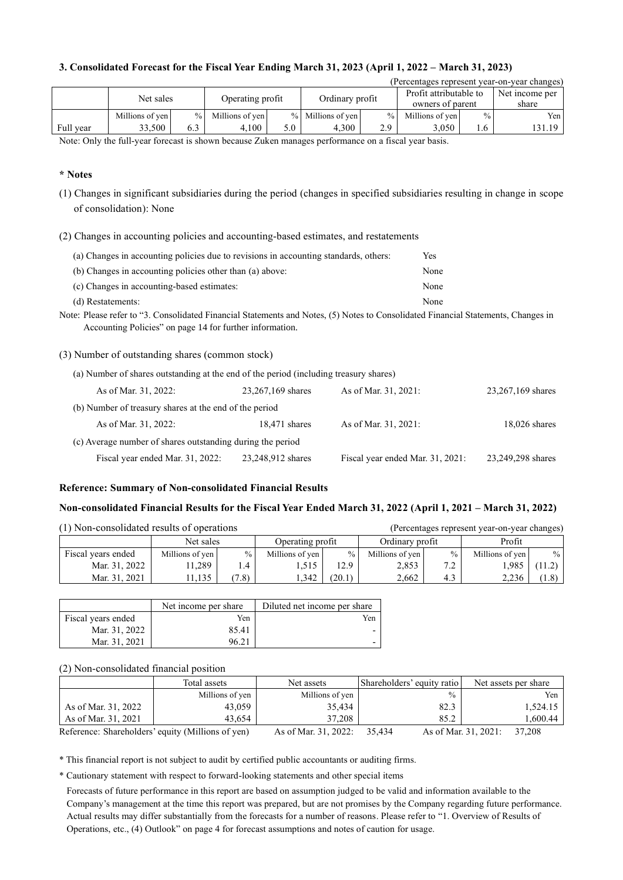#### **3. Consolidated Forecast for the Fiscal Year Ending March 31, 2023 (April 1, 2022 – March 31, 2023)**

| (Percentages represent year-on-year changes) |                 |      |                  |     |                   |               |                                            |               |        |  |  |
|----------------------------------------------|-----------------|------|------------------|-----|-------------------|---------------|--------------------------------------------|---------------|--------|--|--|
|                                              | Net sales       |      | Operating profit |     | Ordinary profit   |               | Profit attributable to<br>owners of parent |               |        |  |  |
|                                              | Millions of yen | $\%$ | Millions of yen  |     | % Millions of yen | $\frac{0}{0}$ | Millions of yen                            | $\frac{0}{0}$ | Yen    |  |  |
| Full vear                                    | 33.500          | 6.3  | 4.100            | 5.0 | 4.300             | 2.9           | 3.050                                      | 1.6           | 31.19ء |  |  |

Note: Only the full-year forecast is shown because Zuken manages performance on a fiscal year basis.

#### **\* Notes**

- (1) Changes in significant subsidiaries during the period (changes in specified subsidiaries resulting in change in scope of consolidation): None
- (2) Changes in accounting policies and accounting-based estimates, and restatements

| (a) Changes in accounting policies due to revisions in accounting standards, others: | Yes  |
|--------------------------------------------------------------------------------------|------|
| (b) Changes in accounting policies other than (a) above:                             | None |
| (c) Changes in accounting-based estimates:                                           | None |
| (d) Restatements:                                                                    | None |

Note: Please refer to "3. Consolidated Financial Statements and Notes, (5) Notes to Consolidated Financial Statements, Changes in Accounting Policies" on page 14 for further information.

(3) Number of outstanding shares (common stock)

| (a) Number of shares outstanding at the end of the period (including treasury shares) |                   |                                  |                   |  |  |  |  |  |  |
|---------------------------------------------------------------------------------------|-------------------|----------------------------------|-------------------|--|--|--|--|--|--|
| As of Mar. 31, 2022:                                                                  | 23,267,169 shares | As of Mar. 31, 2021:             | 23,267,169 shares |  |  |  |  |  |  |
| (b) Number of treasury shares at the end of the period                                |                   |                                  |                   |  |  |  |  |  |  |
| As of Mar. 31, 2022:                                                                  | $18,471$ shares   | As of Mar. 31, 2021:             | 18,026 shares     |  |  |  |  |  |  |
| (c) Average number of shares outstanding during the period                            |                   |                                  |                   |  |  |  |  |  |  |
| Fiscal year ended Mar. 31, 2022:                                                      | 23,248,912 shares | Fiscal year ended Mar. 31, 2021: | 23,249,298 shares |  |  |  |  |  |  |

#### **Reference: Summary of Non-consolidated Financial Results**

#### **Non-consolidated Financial Results for the Fiscal Year Ended March 31, 2022 (April 1, 2021 – March 31, 2022)**

| (1) Non-consolidated results of operations |                 |       |                  | (Percentages represent year-on-year changes) |                 |      |                 |               |
|--------------------------------------------|-----------------|-------|------------------|----------------------------------------------|-----------------|------|-----------------|---------------|
|                                            | Net sales       |       | Operating profit |                                              | Ordinary profit |      | Profit          |               |
| Fiscal years ended                         | Millions of yen | $\%$  | Millions of yen  | $\frac{0}{0}$                                | Millions of yen | $\%$ | Millions of yen | $\frac{0}{0}$ |
| Mar. 31, 2022                              | 1.289           | 1.4   | 1.515            | 12.9                                         | 2,853           | 7.2  | 1,985           | (11.2)        |
| Mar. 31, 2021                              | 1,135           | (7.8) | 1.342            | (20.1)                                       | 2.662           | 4.3  | 2.236           | (1.8)         |

|                    | Net income per share | Diluted net income per share |
|--------------------|----------------------|------------------------------|
| Fiscal years ended | Yen                  | Yen                          |
| Mar. 31, 2022      | 85.41                |                              |
| Mar. 31, 2021      | 96.21                | -                            |

(2) Non-consolidated financial position

|                     | Total assets                                      | Net assets           | Shareholders' equity ratio | Net assets per share           |
|---------------------|---------------------------------------------------|----------------------|----------------------------|--------------------------------|
|                     | Millions of yen                                   | Millions of yen      | $\frac{0}{0}$              | Yen                            |
| As of Mar. 31, 2022 | 43,059                                            | 35.434               | 82.3                       | 1,524.15                       |
| As of Mar. 31, 2021 | 43.654                                            | 37,208               | 85.2                       | 1.600.44                       |
|                     | Reference: Shareholders' equity (Millions of yen) | As of Mar. 31, 2022: | 35.434                     | As of Mar. 31, 2021:<br>37,208 |

\* This financial report is not subject to audit by certified public accountants or auditing firms.

\* Cautionary statement with respect to forward-looking statements and other special items

Forecasts of future performance in this report are based on assumption judged to be valid and information available to the Company's management at the time this report was prepared, but are not promises by the Company regarding future performance. Actual results may differ substantially from the forecasts for a number of reasons. Please refer to "1. Overview of Results of Operations, etc., (4) Outlook" on page 4 for forecast assumptions and notes of caution for usage.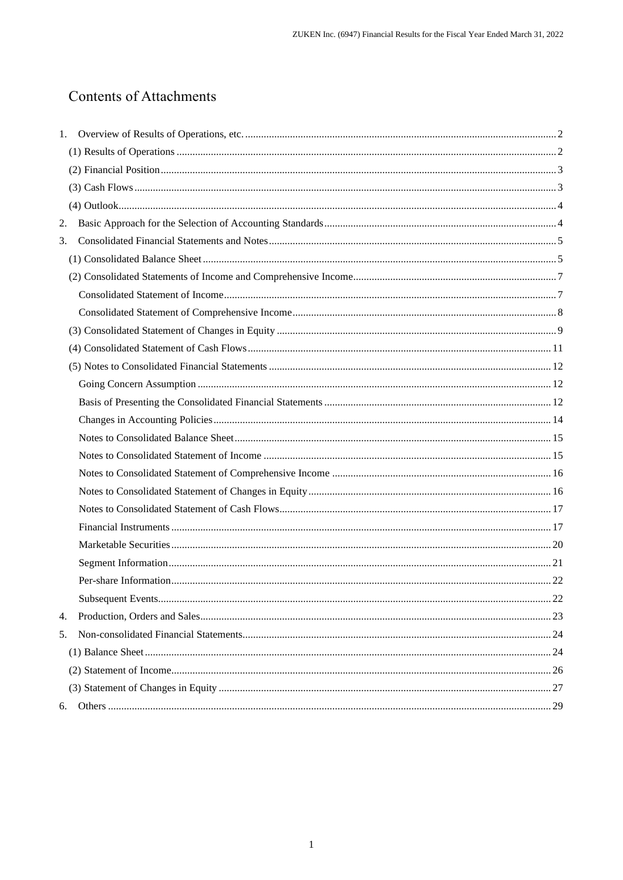# **Contents of Attachments**

| 2. |  |
|----|--|
| 3. |  |
|    |  |
|    |  |
|    |  |
|    |  |
|    |  |
|    |  |
|    |  |
|    |  |
|    |  |
|    |  |
|    |  |
|    |  |
|    |  |
|    |  |
|    |  |
|    |  |
|    |  |
|    |  |
|    |  |
|    |  |
| 4. |  |
| 5. |  |
|    |  |
|    |  |
|    |  |
|    |  |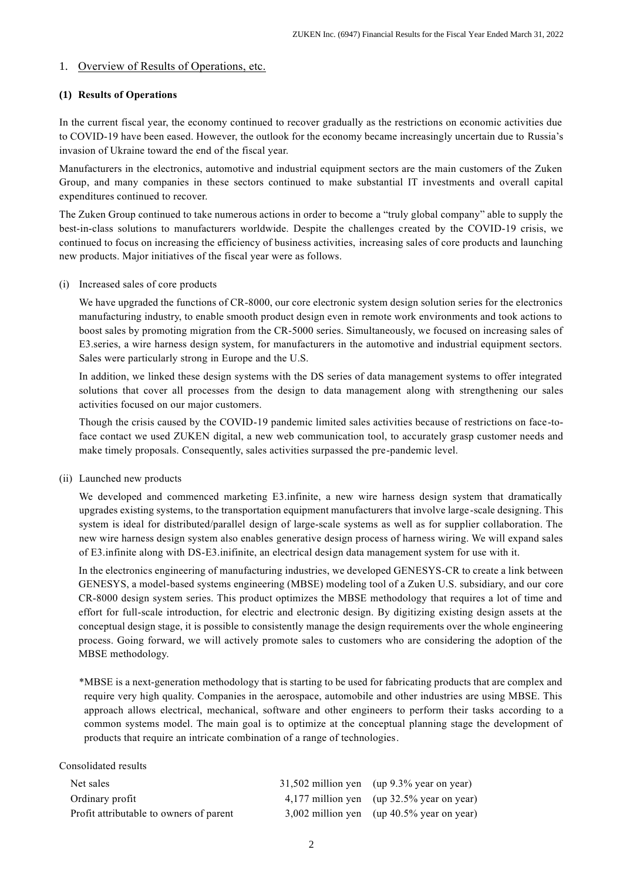### <span id="page-3-0"></span>1. Overview of Results of Operations, etc.

#### <span id="page-3-1"></span>**(1) Results of Operations**

In the current fiscal year, the economy continued to recover gradually as the restrictions on economic activities due to COVID-19 have been eased. However, the outlook for the economy became increasingly uncertain due to Russia's invasion of Ukraine toward the end of the fiscal year.

Manufacturers in the electronics, automotive and industrial equipment sectors are the main customers of the Zuken Group, and many companies in these sectors continued to make substantial IT investments and overall capital expenditures continued to recover.

The Zuken Group continued to take numerous actions in order to become a "truly global company" able to supply the best-in-class solutions to manufacturers worldwide. Despite the challenges created by the COVID-19 crisis, we continued to focus on increasing the efficiency of business activities, increasing sales of core products and launching new products. Major initiatives of the fiscal year were as follows.

#### (i) Increased sales of core products

We have upgraded the functions of CR-8000, our core electronic system design solution series for the electronics manufacturing industry, to enable smooth product design even in remote work environments and took actions to boost sales by promoting migration from the CR-5000 series. Simultaneously, we focused on increasing sales of E3.series, a wire harness design system, for manufacturers in the automotive and industrial equipment sectors. Sales were particularly strong in Europe and the U.S.

In addition, we linked these design systems with the DS series of data management systems to offer integrated solutions that cover all processes from the design to data management along with strengthening our sales activities focused on our major customers.

Though the crisis caused by the COVID-19 pandemic limited sales activities because of restrictions on face-toface contact we used ZUKEN digital, a new web communication tool, to accurately grasp customer needs and make timely proposals. Consequently, sales activities surpassed the pre-pandemic level.

(ii) Launched new products

We developed and commenced marketing E3.infinite, a new wire harness design system that dramatically upgrades existing systems, to the transportation equipment manufacturers that involve large-scale designing. This system is ideal for distributed/parallel design of large-scale systems as well as for supplier collaboration. The new wire harness design system also enables generative design process of harness wiring. We will expand sales of E3.infinite along with DS-E3.inifinite, an electrical design data management system for use with it.

In the electronics engineering of manufacturing industries, we developed GENESYS-CR to create a link between GENESYS, a model-based systems engineering (MBSE) modeling tool of a Zuken U.S. subsidiary, and our core CR-8000 design system series. This product optimizes the MBSE methodology that requires a lot of time and effort for full-scale introduction, for electric and electronic design. By digitizing existing design assets at the conceptual design stage, it is possible to consistently manage the design requirements over the whole engineering process. Going forward, we will actively promote sales to customers who are considering the adoption of the MBSE methodology.

\*MBSE is a next-generation methodology that is starting to be used for fabricating products that are complex and require very high quality. Companies in the aerospace, automobile and other industries are using MBSE. This approach allows electrical, mechanical, software and other engineers to perform their tasks according to a common systems model. The main goal is to optimize at the conceptual planning stage the development of products that require an intricate combination of a range of technologies.

Consolidated results

| Net sales                               | $31,502$ million yen (up 9.3% year on year)  |
|-----------------------------------------|----------------------------------------------|
| Ordinary profit                         | 4,177 million yen (up $32.5\%$ year on year) |
| Profit attributable to owners of parent | 3,002 million yen (up $40.5\%$ year on year) |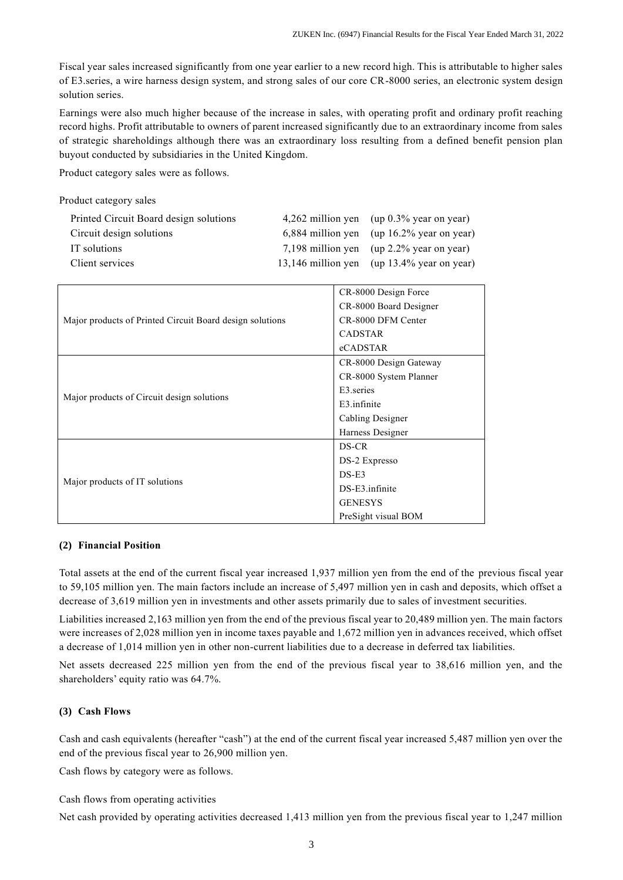Fiscal year sales increased significantly from one year earlier to a new record high. This is attributable to higher sales of E3.series, a wire harness design system, and strong sales of our core CR-8000 series, an electronic system design solution series.

Earnings were also much higher because of the increase in sales, with operating profit and ordinary profit reaching record highs. Profit attributable to owners of parent increased significantly due to an extraordinary income from sales of strategic shareholdings although there was an extraordinary loss resulting from a defined benefit pension plan buyout conducted by subsidiaries in the United Kingdom.

Product category sales were as follows.

| Product category sales                 |  |                                              |  |  |  |  |  |
|----------------------------------------|--|----------------------------------------------|--|--|--|--|--|
| Printed Circuit Board design solutions |  | $4,262$ million yen (up 0.3% year on year)   |  |  |  |  |  |
| Circuit design solutions               |  | 6,884 million yen (up $16.2\%$ year on year) |  |  |  |  |  |
| IT solutions                           |  | 7,198 million yen (up $2.2\%$ year on year)  |  |  |  |  |  |
| Client services                        |  | 13,146 million yen (up 13.4% year on year)   |  |  |  |  |  |

|                                                          | CR-8000 Design Force   |  |
|----------------------------------------------------------|------------------------|--|
|                                                          | CR-8000 Board Designer |  |
| Major products of Printed Circuit Board design solutions | CR-8000 DFM Center     |  |
|                                                          | <b>CADSTAR</b>         |  |
|                                                          | eCADSTAR               |  |
|                                                          | CR-8000 Design Gateway |  |
|                                                          | CR-8000 System Planner |  |
|                                                          | E3.series              |  |
| Major products of Circuit design solutions               | E3.infinite            |  |
|                                                          | Cabling Designer       |  |
|                                                          | Harness Designer       |  |
|                                                          | DS-CR                  |  |
|                                                          | DS-2 Expresso          |  |
|                                                          | $DS-E3$                |  |
| Major products of IT solutions                           | DS-E3.infinite         |  |
|                                                          | <b>GENESYS</b>         |  |
|                                                          | PreSight visual BOM    |  |

# <span id="page-4-0"></span>**(2) Financial Position**

Total assets at the end of the current fiscal year increased 1,937 million yen from the end of the previous fiscal year to 59,105 million yen. The main factors include an increase of 5,497 million yen in cash and deposits, which offset a decrease of 3,619 million yen in investments and other assets primarily due to sales of investment securities.

Liabilities increased 2,163 million yen from the end of the previous fiscal year to 20,489 million yen. The main factors were increases of 2,028 million yen in income taxes payable and 1,672 million yen in advances received, which offset a decrease of 1,014 million yen in other non-current liabilities due to a decrease in deferred tax liabilities.

Net assets decreased 225 million yen from the end of the previous fiscal year to 38,616 million yen, and the shareholders' equity ratio was 64.7%.

# <span id="page-4-1"></span>**(3) Cash Flows**

Cash and cash equivalents (hereafter "cash") at the end of the current fiscal year increased 5,487 million yen over the end of the previous fiscal year to 26,900 million yen.

Cash flows by category were as follows.

Cash flows from operating activities

Net cash provided by operating activities decreased 1,413 million yen from the previous fiscal year to 1,247 million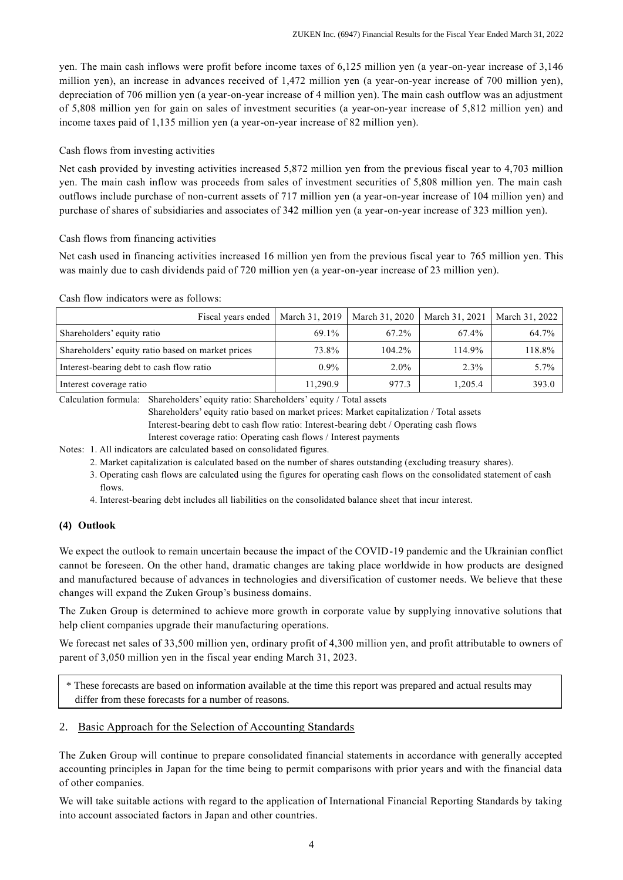yen. The main cash inflows were profit before income taxes of 6,125 million yen (a year-on-year increase of 3,146 million yen), an increase in advances received of 1,472 million yen (a year-on-year increase of 700 million yen), depreciation of 706 million yen (a year-on-year increase of 4 million yen). The main cash outflow was an adjustment of 5,808 million yen for gain on sales of investment securities (a year-on-year increase of 5,812 million yen) and income taxes paid of 1,135 million yen (a year-on-year increase of 82 million yen).

# Cash flows from investing activities

Net cash provided by investing activities increased 5,872 million yen from the previous fiscal year to 4,703 million yen. The main cash inflow was proceeds from sales of investment securities of 5,808 million yen. The main cash outflows include purchase of non-current assets of 717 million yen (a year-on-year increase of 104 million yen) and purchase of shares of subsidiaries and associates of 342 million yen (a year-on-year increase of 323 million yen).

Cash flows from financing activities

Net cash used in financing activities increased 16 million yen from the previous fiscal year to 765 million yen. This was mainly due to cash dividends paid of 720 million yen (a year-on-year increase of 23 million yen).

Cash flow indicators were as follows:

| Fiscal years ended                                |          | March 31, 2019   March 31, 2020 | March 31, 2021 | March 31, 2022 |
|---------------------------------------------------|----------|---------------------------------|----------------|----------------|
| Shareholders' equity ratio                        | 69.1%    | 67.2%                           | 67.4%          | 64.7%          |
| Shareholders' equity ratio based on market prices | 73.8%    | $104.2\%$                       | 114.9%         | 118.8%         |
| Interest-bearing debt to cash flow ratio          | $0.9\%$  | $2.0\%$                         | $2.3\%$        | 5.7%           |
| Interest coverage ratio                           | 11.290.9 | 977.3                           | 1.205.4        | 393.0          |

Calculation formula: Shareholders' equity ratio: Shareholders' equity / Total assets

Shareholders' equity ratio based on market prices: Market capitalization / Total assets Interest-bearing debt to cash flow ratio: Interest-bearing debt / Operating cash flows Interest coverage ratio: Operating cash flows / Interest payments

Notes: 1. All indicators are calculated based on consolidated figures.

2. Market capitalization is calculated based on the number of shares outstanding (excluding treasury shares).

- 3. Operating cash flows are calculated using the figures for operating cash flows on the consolidated statement of cash flows.
- 4. Interest-bearing debt includes all liabilities on the consolidated balance sheet that incur interest.

# <span id="page-5-0"></span>**(4) Outlook**

We expect the outlook to remain uncertain because the impact of the COVID-19 pandemic and the Ukrainian conflict cannot be foreseen. On the other hand, dramatic changes are taking place worldwide in how products are designed and manufactured because of advances in technologies and diversification of customer needs. We believe that these changes will expand the Zuken Group's business domains.

The Zuken Group is determined to achieve more growth in corporate value by supplying innovative solutions that help client companies upgrade their manufacturing operations.

We forecast net sales of 33,500 million yen, ordinary profit of 4,300 million yen, and profit attributable to owners of parent of 3,050 million yen in the fiscal year ending March 31, 2023.

\* These forecasts are based on information available at the time this report was prepared and actual results may differ from these forecasts for a number of reasons.

# <span id="page-5-1"></span>2. Basic Approach for the Selection of Accounting Standards

The Zuken Group will continue to prepare consolidated financial statements in accordance with generally accepted accounting principles in Japan for the time being to permit comparisons with prior years and with the financial data of other companies.

We will take suitable actions with regard to the application of International Financial Reporting Standards by taking into account associated factors in Japan and other countries.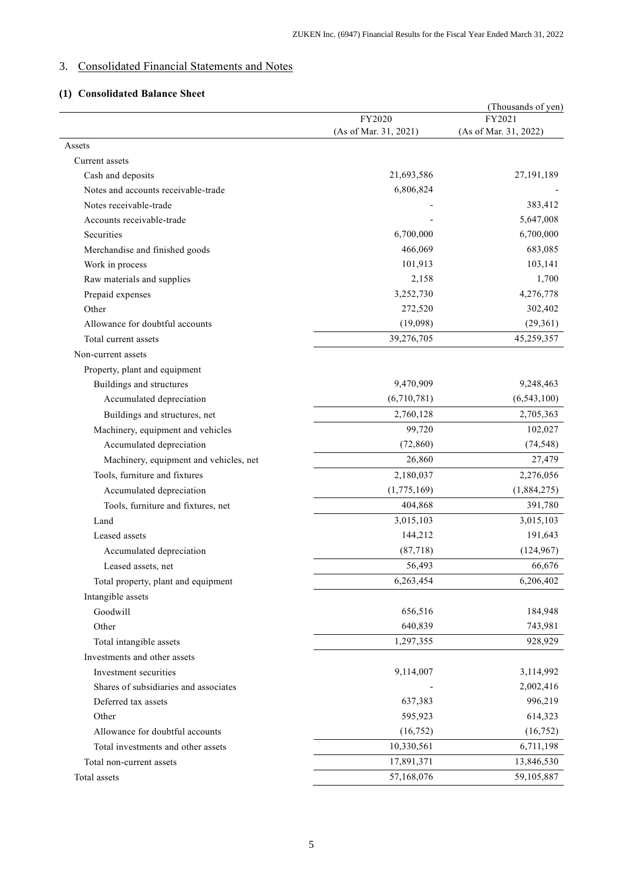# <span id="page-6-0"></span>3. Consolidated Financial Statements and Notes

# <span id="page-6-1"></span>**(1) Consolidated Balance Sheet**

|                                        |                                 | (Thousands of yen)              |
|----------------------------------------|---------------------------------|---------------------------------|
|                                        | FY2020<br>(As of Mar. 31, 2021) | FY2021<br>(As of Mar. 31, 2022) |
| Assets                                 |                                 |                                 |
| Current assets                         |                                 |                                 |
| Cash and deposits                      | 21,693,586                      | 27,191,189                      |
| Notes and accounts receivable-trade    | 6,806,824                       |                                 |
| Notes receivable-trade                 |                                 | 383,412                         |
| Accounts receivable-trade              |                                 | 5,647,008                       |
| Securities                             | 6,700,000                       | 6,700,000                       |
| Merchandise and finished goods         | 466,069                         | 683,085                         |
| Work in process                        | 101,913                         | 103,141                         |
| Raw materials and supplies             | 2,158                           | 1,700                           |
| Prepaid expenses                       | 3,252,730                       | 4,276,778                       |
| Other                                  | 272,520                         | 302,402                         |
| Allowance for doubtful accounts        | (19,098)                        | (29, 361)                       |
| Total current assets                   | 39,276,705                      | 45,259,357                      |
| Non-current assets                     |                                 |                                 |
| Property, plant and equipment          |                                 |                                 |
| Buildings and structures               | 9,470,909                       | 9,248,463                       |
| Accumulated depreciation               | (6,710,781)                     | (6,543,100)                     |
| Buildings and structures, net          | 2,760,128                       | 2,705,363                       |
| Machinery, equipment and vehicles      | 99,720                          | 102,027                         |
| Accumulated depreciation               | (72, 860)                       | (74, 548)                       |
| Machinery, equipment and vehicles, net | 26,860                          | 27,479                          |
| Tools, furniture and fixtures          | 2,180,037                       | 2,276,056                       |
| Accumulated depreciation               | (1,775,169)                     | (1,884,275)                     |
| Tools, furniture and fixtures, net     | 404,868                         | 391,780                         |
| Land                                   | 3,015,103                       | 3,015,103                       |
| Leased assets                          | 144,212                         | 191,643                         |
| Accumulated depreciation               | (87, 718)                       | (124, 967)                      |
| Leased assets, net                     | 56,493                          | 66,676                          |
| Total property, plant and equipment    | 6,263,454                       | 6,206,402                       |
| Intangible assets                      |                                 |                                 |
| Goodwill                               | 656,516                         | 184,948                         |
| Other                                  | 640,839                         | 743,981                         |
| Total intangible assets                | 1,297,355                       | 928,929                         |
| Investments and other assets           |                                 |                                 |
| Investment securities                  | 9,114,007                       | 3,114,992                       |
| Shares of subsidiaries and associates  |                                 | 2,002,416                       |
| Deferred tax assets                    | 637,383                         | 996,219                         |
| Other                                  | 595,923                         | 614,323                         |
| Allowance for doubtful accounts        | (16, 752)                       | (16, 752)                       |
| Total investments and other assets     | 10,330,561                      | 6,711,198                       |
| Total non-current assets               | 17,891,371                      | 13,846,530                      |
| Total assets                           | 57,168,076                      | 59,105,887                      |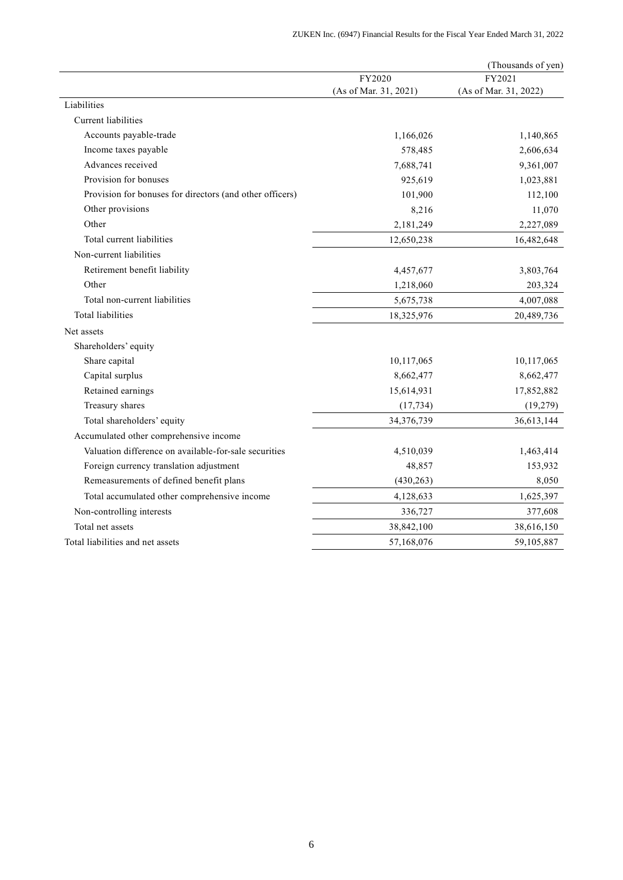|                                                          |                       | (Thousands of yen)    |
|----------------------------------------------------------|-----------------------|-----------------------|
|                                                          | FY2020                | FY2021                |
|                                                          | (As of Mar. 31, 2021) | (As of Mar. 31, 2022) |
| Liabilities                                              |                       |                       |
| Current liabilities                                      |                       |                       |
| Accounts payable-trade                                   | 1,166,026             | 1,140,865             |
| Income taxes payable                                     | 578,485               | 2,606,634             |
| Advances received                                        | 7,688,741             | 9,361,007             |
| Provision for bonuses                                    | 925,619               | 1,023,881             |
| Provision for bonuses for directors (and other officers) | 101,900               | 112,100               |
| Other provisions                                         | 8,216                 | 11,070                |
| Other                                                    | 2,181,249             | 2,227,089             |
| Total current liabilities                                | 12,650,238            | 16,482,648            |
| Non-current liabilities                                  |                       |                       |
| Retirement benefit liability                             | 4,457,677             | 3,803,764             |
| Other                                                    | 1,218,060             | 203,324               |
| Total non-current liabilities                            | 5,675,738             | 4,007,088             |
| <b>Total liabilities</b>                                 | 18,325,976            | 20,489,736            |
| Net assets                                               |                       |                       |
| Shareholders' equity                                     |                       |                       |
| Share capital                                            | 10,117,065            | 10,117,065            |
| Capital surplus                                          | 8,662,477             | 8,662,477             |
| Retained earnings                                        | 15,614,931            | 17,852,882            |
| Treasury shares                                          | (17, 734)             | (19,279)              |
| Total shareholders' equity                               | 34,376,739            | 36,613,144            |
| Accumulated other comprehensive income                   |                       |                       |
| Valuation difference on available-for-sale securities    | 4,510,039             | 1,463,414             |
| Foreign currency translation adjustment                  | 48,857                | 153,932               |
| Remeasurements of defined benefit plans                  | (430, 263)            | 8,050                 |
| Total accumulated other comprehensive income             | 4,128,633             | 1,625,397             |
| Non-controlling interests                                | 336,727               | 377,608               |
| Total net assets                                         | 38,842,100            | 38,616,150            |
| Total liabilities and net assets                         | 57,168,076            | 59,105,887            |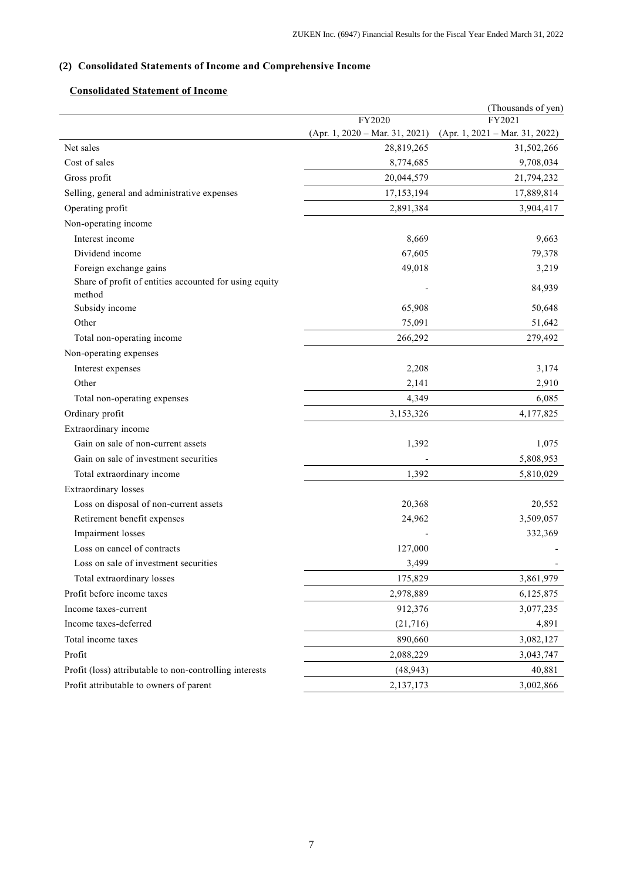# <span id="page-8-0"></span>**(2) Consolidated Statements of Income and Comprehensive Income**

# <span id="page-8-1"></span>**Consolidated Statement of Income**

|                                                                  | FY2020                           | (Thousands of yen)<br>FY2021     |
|------------------------------------------------------------------|----------------------------------|----------------------------------|
|                                                                  | $(Apr. 1, 2020 - Mar. 31, 2021)$ | $(Apr. 1, 2021 - Mar. 31, 2022)$ |
| Net sales                                                        | 28,819,265                       | 31,502,266                       |
| Cost of sales                                                    | 8,774,685                        | 9,708,034                        |
| Gross profit                                                     | 20,044,579                       | 21,794,232                       |
| Selling, general and administrative expenses                     | 17,153,194                       | 17,889,814                       |
| Operating profit                                                 | 2,891,384                        | 3,904,417                        |
| Non-operating income                                             |                                  |                                  |
| Interest income                                                  | 8,669                            | 9,663                            |
| Dividend income                                                  | 67,605                           | 79,378                           |
| Foreign exchange gains                                           | 49,018                           | 3,219                            |
| Share of profit of entities accounted for using equity<br>method |                                  | 84,939                           |
| Subsidy income                                                   | 65,908                           | 50,648                           |
| Other                                                            | 75,091                           | 51,642                           |
| Total non-operating income                                       | 266,292                          | 279,492                          |
| Non-operating expenses                                           |                                  |                                  |
| Interest expenses                                                | 2,208                            | 3,174                            |
| Other                                                            | 2,141                            | 2,910                            |
| Total non-operating expenses                                     | 4,349                            | 6,085                            |
| Ordinary profit                                                  | 3,153,326                        | 4,177,825                        |
| Extraordinary income                                             |                                  |                                  |
| Gain on sale of non-current assets                               | 1,392                            | 1,075                            |
| Gain on sale of investment securities                            |                                  | 5,808,953                        |
| Total extraordinary income                                       | 1,392                            | 5,810,029                        |
| <b>Extraordinary</b> losses                                      |                                  |                                  |
| Loss on disposal of non-current assets                           | 20,368                           | 20,552                           |
| Retirement benefit expenses                                      | 24,962                           | 3,509,057                        |
| Impairment losses                                                |                                  | 332,369                          |
| Loss on cancel of contracts                                      | 127,000                          |                                  |
| Loss on sale of investment securities                            | 3,499                            |                                  |
| Total extraordinary losses                                       | 175,829                          | 3,861,979                        |
| Profit before income taxes                                       | 2,978,889                        | 6,125,875                        |
| Income taxes-current                                             | 912,376                          | 3,077,235                        |
| Income taxes-deferred                                            | (21,716)                         | 4,891                            |
| Total income taxes                                               | 890,660                          | 3,082,127                        |
| Profit                                                           | 2,088,229                        | 3,043,747                        |
| Profit (loss) attributable to non-controlling interests          | (48, 943)                        | 40,881                           |
| Profit attributable to owners of parent                          | 2,137,173                        | 3,002,866                        |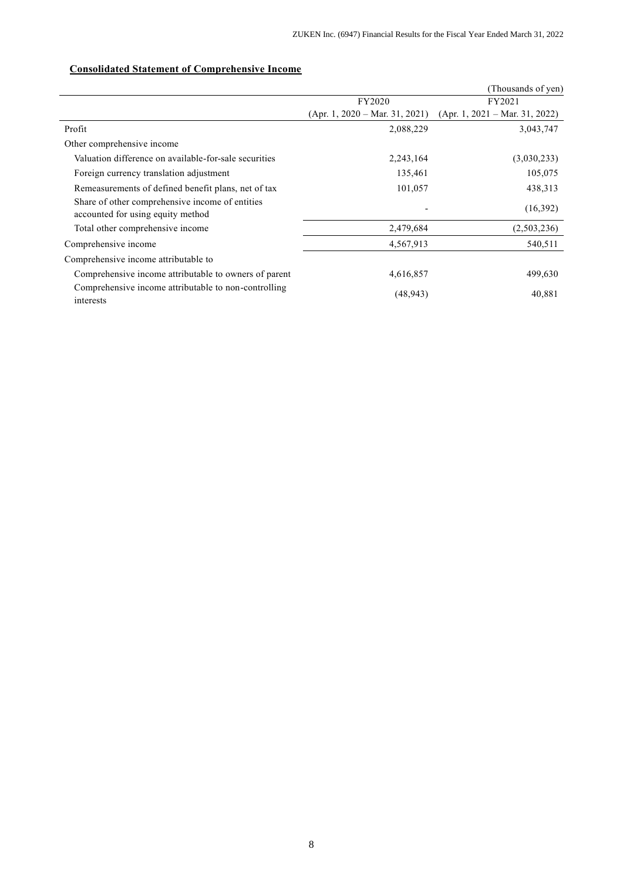# <span id="page-9-0"></span>**Consolidated Statement of Comprehensive Income**

|                                                                                      |                                  | (Thousands of yen)               |
|--------------------------------------------------------------------------------------|----------------------------------|----------------------------------|
|                                                                                      | FY2020                           | FY2021                           |
|                                                                                      | $(Apr. 1, 2020 - Mar. 31, 2021)$ | $(Apr. 1, 2021 - Mar. 31, 2022)$ |
| Profit                                                                               | 2,088,229                        | 3,043,747                        |
| Other comprehensive income                                                           |                                  |                                  |
| Valuation difference on available-for-sale securities                                | 2,243,164                        | (3,030,233)                      |
| Foreign currency translation adjustment                                              | 135,461                          | 105,075                          |
| Remeasurements of defined benefit plans, net of tax                                  | 101,057                          | 438,313                          |
| Share of other comprehensive income of entities<br>accounted for using equity method |                                  | (16,392)                         |
| Total other comprehensive income                                                     | 2,479,684                        | (2,503,236)                      |
| Comprehensive income                                                                 | 4,567,913                        | 540,511                          |
| Comprehensive income attributable to                                                 |                                  |                                  |
| Comprehensive income attributable to owners of parent                                | 4,616,857                        | 499,630                          |
| Comprehensive income attributable to non-controlling<br>interests                    | (48, 943)                        | 40,881                           |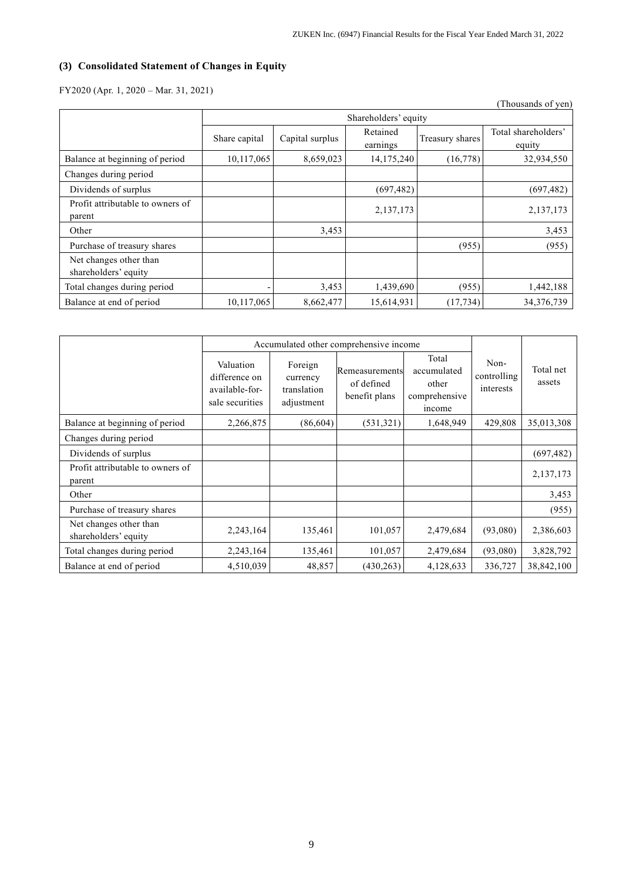# <span id="page-10-0"></span>**(3) Consolidated Statement of Changes in Equity**

| FY2020 (Apr. 1, 2020 - Mar. 31, 2021) |  |  |  |  |  |
|---------------------------------------|--|--|--|--|--|
|---------------------------------------|--|--|--|--|--|

|                                                |               |                      |                      |                 | (Thousands of yen)            |  |
|------------------------------------------------|---------------|----------------------|----------------------|-----------------|-------------------------------|--|
|                                                |               | Shareholders' equity |                      |                 |                               |  |
|                                                | Share capital | Capital surplus      | Retained<br>earnings | Treasury shares | Total shareholders'<br>equity |  |
| Balance at beginning of period                 | 10,117,065    | 8,659,023            | 14, 175, 240         | (16,778)        | 32,934,550                    |  |
| Changes during period                          |               |                      |                      |                 |                               |  |
| Dividends of surplus                           |               |                      | (697, 482)           |                 | (697, 482)                    |  |
| Profit attributable to owners of<br>parent     |               |                      | 2,137,173            |                 | 2,137,173                     |  |
| Other                                          |               | 3,453                |                      |                 | 3,453                         |  |
| Purchase of treasury shares                    |               |                      |                      | (955)           | (955)                         |  |
| Net changes other than<br>shareholders' equity |               |                      |                      |                 |                               |  |
| Total changes during period                    |               | 3,453                | 1,439,690            | (955)           | 1,442,188                     |  |
| Balance at end of period                       | 10,117,065    | 8,662,477            | 15,614,931           | (17, 734)       | 34,376,739                    |  |

|                                                |                                                                 |                                                  | Accumulated other comprehensive income        |                                                          |                                  |                     |
|------------------------------------------------|-----------------------------------------------------------------|--------------------------------------------------|-----------------------------------------------|----------------------------------------------------------|----------------------------------|---------------------|
|                                                | Valuation<br>difference on<br>available-for-<br>sale securities | Foreign<br>currency<br>translation<br>adjustment | Remeasurements<br>of defined<br>benefit plans | Total<br>accumulated<br>other<br>comprehensive<br>income | Non-<br>controlling<br>interests | Total net<br>assets |
| Balance at beginning of period                 | 2,266,875                                                       | (86, 604)                                        | (531, 321)                                    | 1,648,949                                                | 429,808                          | 35,013,308          |
| Changes during period                          |                                                                 |                                                  |                                               |                                                          |                                  |                     |
| Dividends of surplus                           |                                                                 |                                                  |                                               |                                                          |                                  | (697, 482)          |
| Profit attributable to owners of<br>parent     |                                                                 |                                                  |                                               |                                                          |                                  | 2,137,173           |
| Other                                          |                                                                 |                                                  |                                               |                                                          |                                  | 3,453               |
| Purchase of treasury shares                    |                                                                 |                                                  |                                               |                                                          |                                  | (955)               |
| Net changes other than<br>shareholders' equity | 2,243,164                                                       | 135,461                                          | 101,057                                       | 2,479,684                                                | (93,080)                         | 2,386,603           |
| Total changes during period                    | 2,243,164                                                       | 135,461                                          | 101,057                                       | 2,479,684                                                | (93,080)                         | 3,828,792           |
| Balance at end of period                       | 4,510,039                                                       | 48,857                                           | (430, 263)                                    | 4,128,633                                                | 336,727                          | 38,842,100          |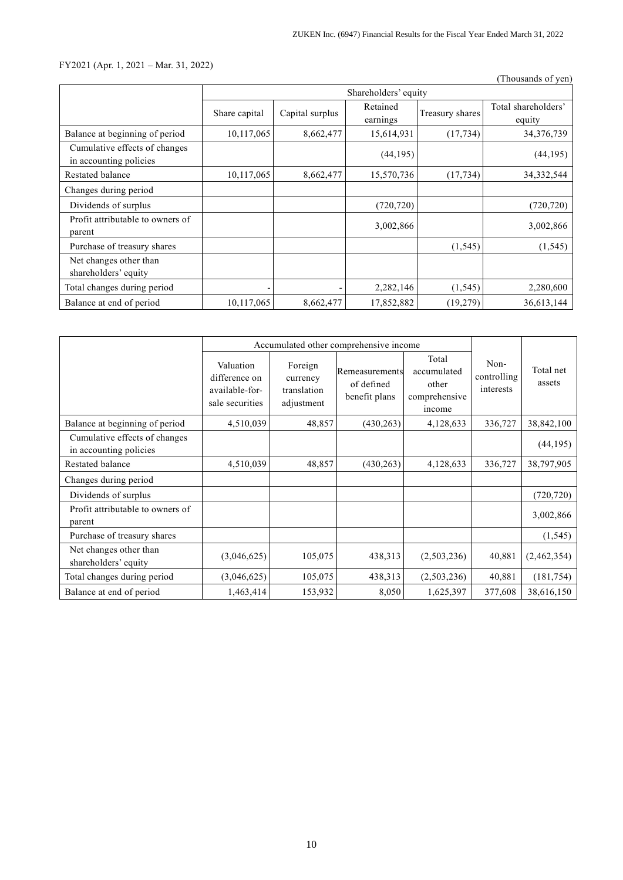# FY2021 (Apr. 1, 2021 – Mar. 31, 2022)

(Thousands of yen)

|                                                         | Shareholders' equity |                 |                      |                 |                               |  |
|---------------------------------------------------------|----------------------|-----------------|----------------------|-----------------|-------------------------------|--|
|                                                         | Share capital        | Capital surplus | Retained<br>earnings | Treasury shares | Total shareholders'<br>equity |  |
| Balance at beginning of period                          | 10,117,065           | 8,662,477       | 15,614,931           | (17, 734)       | 34,376,739                    |  |
| Cumulative effects of changes<br>in accounting policies |                      |                 | (44,195)             |                 | (44, 195)                     |  |
| Restated balance                                        | 10,117,065           | 8,662,477       | 15,570,736           | (17, 734)       | 34, 332, 544                  |  |
| Changes during period                                   |                      |                 |                      |                 |                               |  |
| Dividends of surplus                                    |                      |                 | (720, 720)           |                 | (720, 720)                    |  |
| Profit attributable to owners of<br>parent              |                      |                 | 3,002,866            |                 | 3,002,866                     |  |
| Purchase of treasury shares                             |                      |                 |                      | (1, 545)        | (1, 545)                      |  |
| Net changes other than<br>shareholders' equity          |                      |                 |                      |                 |                               |  |
| Total changes during period                             |                      |                 | 2,282,146            | (1, 545)        | 2,280,600                     |  |
| Balance at end of period                                | 10,117,065           | 8,662,477       | 17,852,882           | (19,279)        | 36,613,144                    |  |

|                                                         | Accumulated other comprehensive income                          |                                                  |                                               |                                                          |                                  |                     |
|---------------------------------------------------------|-----------------------------------------------------------------|--------------------------------------------------|-----------------------------------------------|----------------------------------------------------------|----------------------------------|---------------------|
|                                                         | Valuation<br>difference on<br>available-for-<br>sale securities | Foreign<br>currency<br>translation<br>adjustment | Remeasurements<br>of defined<br>benefit plans | Total<br>accumulated<br>other<br>comprehensive<br>income | Non-<br>controlling<br>interests | Total net<br>assets |
| Balance at beginning of period                          | 4,510,039                                                       | 48,857                                           | (430, 263)                                    | 4,128,633                                                | 336,727                          | 38,842,100          |
| Cumulative effects of changes<br>in accounting policies |                                                                 |                                                  |                                               |                                                          |                                  | (44, 195)           |
| Restated balance                                        | 4,510,039                                                       | 48,857                                           | (430, 263)                                    | 4,128,633                                                | 336,727                          | 38,797,905          |
| Changes during period                                   |                                                                 |                                                  |                                               |                                                          |                                  |                     |
| Dividends of surplus                                    |                                                                 |                                                  |                                               |                                                          |                                  | (720, 720)          |
| Profit attributable to owners of<br>parent              |                                                                 |                                                  |                                               |                                                          |                                  | 3,002,866           |
| Purchase of treasury shares                             |                                                                 |                                                  |                                               |                                                          |                                  | (1, 545)            |
| Net changes other than<br>shareholders' equity          | (3,046,625)                                                     | 105,075                                          | 438,313                                       | (2,503,236)                                              | 40,881                           | (2,462,354)         |
| Total changes during period                             | (3,046,625)                                                     | 105,075                                          | 438,313                                       | (2,503,236)                                              | 40,881                           | (181, 754)          |
| Balance at end of period                                | 1,463,414                                                       | 153,932                                          | 8,050                                         | 1,625,397                                                | 377,608                          | 38,616,150          |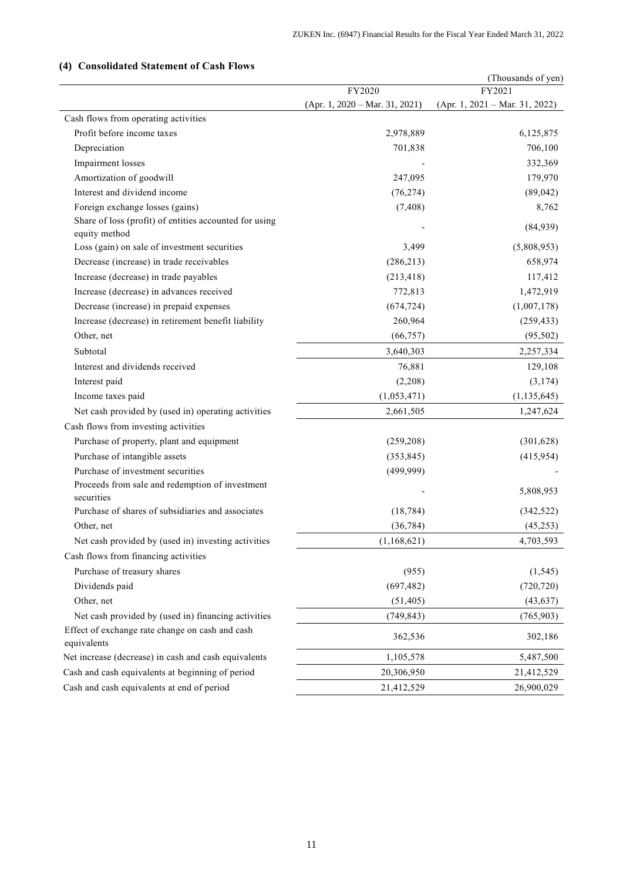# (Thousands of yen) FY2020 (Apr. 1, 2020 – Mar. 31, 2021) FY2021 (Apr. 1, 2021 – Mar. 31, 2022) Cash flows from operating activities Profit before income taxes and the contract of the contract of the contract of the contract of the contract of the contract of the contract of the contract of the contract of the contract of the contract of the contract of Depreciation 701,838 706,100 Impairment losses 332,369 Amortization of goodwill and the contract of goodwill and the contract of goodwill and the contract of  $247,095$  and  $179,970$ Interest and dividend income (76,274) (89,042) Foreign exchange losses (gains)  $(7,408)$  8,762 Share of loss (profit) of entities accounted for using equity method (84,939)<br>equity method Loss (gain) on sale of investment securities 3,499 (5,808,953) Decrease (increase) in trade receivables (286,213) 658,974 Increase (decrease) in trade payables (213,418) 117,412 Increase (decrease) in advances received 772,813 1,472,919 Decrease (increase) in prepaid expenses (674,724) (1,007,178) Increase (decrease) in retirement benefit liability 260,964 (259,433) Other, net (66,757) (95,502) Subtotal 3,640,303 2,257,334 Interest and dividends received 129,108 Interest paid (2,208) (3,174) Income taxes paid (1,053,471) (1,135,645) Net cash provided by (used in) operating activities 2,661,505 1,247,624 Cash flows from investing activities Purchase of property, plant and equipment (259,208) (301,628) Purchase of intangible assets (353,845) (415,954) Purchase of investment securities (499,999) Proceeds from sale and redemption of investment securities 5,808,953 Purchase of shares of subsidiaries and associates (18,784) (342,522) Other, net (36,784) (45,253) Net cash provided by (used in) investing activities (1,168,621) 4,703,593 Cash flows from financing activities Purchase of treasury shares (955) (1,545) Dividends paid (697,482) (720,720) Other, net (51,405) (43,637) Net cash provided by (used in) financing activities (749,843) (765,903) (765,903) Effect of exchange rate change on cash and cash equivalents 362,536 302,186 Net increase (decrease) in cash and cash equivalents 1,105,578 5,487,500 Cash and cash equivalents at beginning of period 20,306,950 21,412,529 Cash and cash equivalents at end of period 21,412,529 26,900,029

#### <span id="page-12-0"></span>**(4) Consolidated Statement of Cash Flows**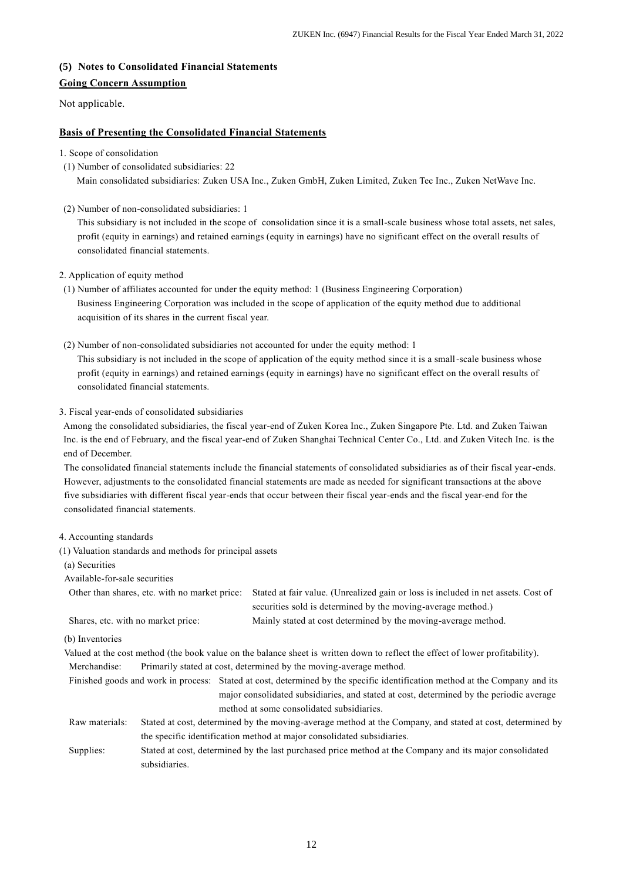#### <span id="page-13-0"></span>**(5) Notes to Consolidated Financial Statements**

#### <span id="page-13-1"></span>**Going Concern Assumption**

Not applicable.

#### <span id="page-13-2"></span>**Basis of Presenting the Consolidated Financial Statements**

1. Scope of consolidation

(1) Number of consolidated subsidiaries: 22

Main consolidated subsidiaries: Zuken USA Inc., Zuken GmbH, Zuken Limited, Zuken Tec Inc., Zuken NetWave Inc.

(2) Number of non-consolidated subsidiaries: 1

This subsidiary is not included in the scope of consolidation since it is a small-scale business whose total assets, net sales, profit (equity in earnings) and retained earnings (equity in earnings) have no significant effect on the overall results of consolidated financial statements.

2. Application of equity method

- (1) Number of affiliates accounted for under the equity method: 1 (Business Engineering Corporation) Business Engineering Corporation was included in the scope of application of the equity method due to additional acquisition of its shares in the current fiscal year.
- (2) Number of non-consolidated subsidiaries not accounted for under the equity method: 1

This subsidiary is not included in the scope of application of the equity method since it is a small-scale business whose profit (equity in earnings) and retained earnings (equity in earnings) have no significant effect on the overall results of consolidated financial statements.

#### 3. Fiscal year-ends of consolidated subsidiaries

Among the consolidated subsidiaries, the fiscal year-end of Zuken Korea Inc., Zuken Singapore Pte. Ltd. and Zuken Taiwan Inc. is the end of February, and the fiscal year-end of Zuken Shanghai Technical Center Co., Ltd. and Zuken Vitech Inc. is the end of December.

The consolidated financial statements include the financial statements of consolidated subsidiaries as of their fiscal year-ends. However, adjustments to the consolidated financial statements are made as needed for significant transactions at the above five subsidiaries with different fiscal year-ends that occur between their fiscal year-ends and the fiscal year-end for the consolidated financial statements.

#### 4. Accounting standards

- (1) Valuation standards and methods for principal assets
- (a) Securities
- Available-for-sale securities

|                                    | Other than shares, etc. with no market price: Stated at fair value. (Unrealized gain or loss is included in net assets. Cost of |
|------------------------------------|---------------------------------------------------------------------------------------------------------------------------------|
|                                    | securities sold is determined by the moving-average method.)                                                                    |
| Shares, etc. with no market price: | Mainly stated at cost determined by the moving-average method.                                                                  |

(b) Inventories

Valued at the cost method (the book value on the balance sheet is written down to reflect the effect of lower profitability). Merchandise: Primarily stated at cost, determined by the moving-average method.

- Finished goods and work in process: Stated at cost, determined by the specific identification method at the Company and its major consolidated subsidiaries, and stated at cost, determined by the periodic average method at some consolidated subsidiaries.
- Raw materials: Stated at cost, determined by the moving-average method at the Company, and stated at cost, determined by the specific identification method at major consolidated subsidiaries.
- Supplies: Stated at cost, determined by the last purchased price method at the Company and its major consolidated subsidiaries.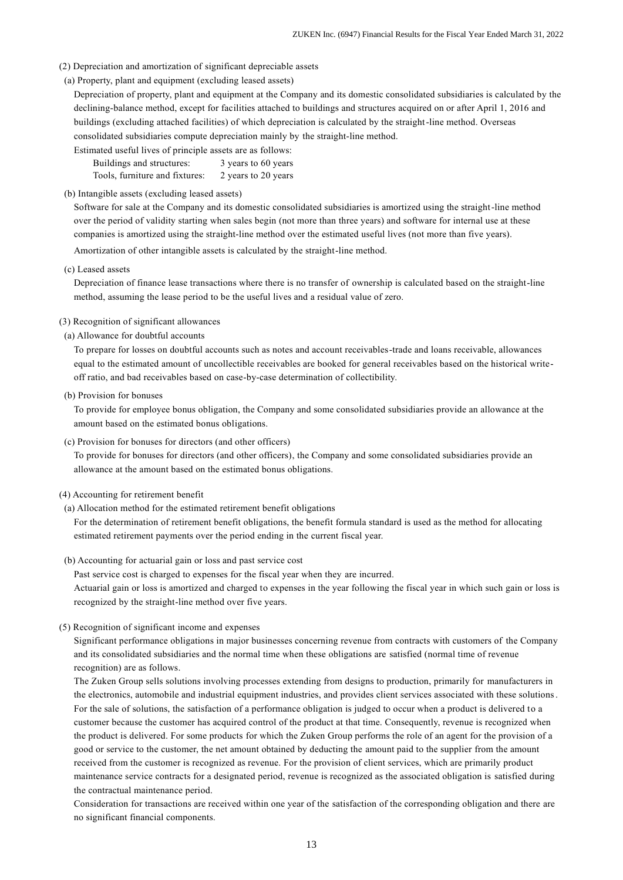#### (2) Depreciation and amortization of significant depreciable assets

(a) Property, plant and equipment (excluding leased assets)

Depreciation of property, plant and equipment at the Company and its domestic consolidated subsidiaries is calculated by the declining-balance method, except for facilities attached to buildings and structures acquired on or after April 1, 2016 and buildings (excluding attached facilities) of which depreciation is calculated by the straight-line method. Overseas consolidated subsidiaries compute depreciation mainly by the straight-line method.

Estimated useful lives of principle assets are as follows:

Buildings and structures: 3 years to 60 years

Tools, furniture and fixtures: 2 years to 20 years

#### (b) Intangible assets (excluding leased assets)

Software for sale at the Company and its domestic consolidated subsidiaries is amortized using the straight-line method over the period of validity starting when sales begin (not more than three years) and software for internal use at these companies is amortized using the straight-line method over the estimated useful lives (not more than five years).

Amortization of other intangible assets is calculated by the straight-line method.

(c) Leased assets

Depreciation of finance lease transactions where there is no transfer of ownership is calculated based on the straight-line method, assuming the lease period to be the useful lives and a residual value of zero.

#### (3) Recognition of significant allowances

(a) Allowance for doubtful accounts

To prepare for losses on doubtful accounts such as notes and account receivables-trade and loans receivable, allowances equal to the estimated amount of uncollectible receivables are booked for general receivables based on the historical writeoff ratio, and bad receivables based on case-by-case determination of collectibility.

(b) Provision for bonuses

To provide for employee bonus obligation, the Company and some consolidated subsidiaries provide an allowance at the amount based on the estimated bonus obligations.

(c) Provision for bonuses for directors (and other officers)

To provide for bonuses for directors (and other officers), the Company and some consolidated subsidiaries provide an allowance at the amount based on the estimated bonus obligations.

(4) Accounting for retirement benefit

(a) Allocation method for the estimated retirement benefit obligations

For the determination of retirement benefit obligations, the benefit formula standard is used as the method for allocating estimated retirement payments over the period ending in the current fiscal year.

(b) Accounting for actuarial gain or loss and past service cost

Past service cost is charged to expenses for the fiscal year when they are incurred.

Actuarial gain or loss is amortized and charged to expenses in the year following the fiscal year in which such gain or loss is recognized by the straight-line method over five years.

#### (5) Recognition of significant income and expenses

Significant performance obligations in major businesses concerning revenue from contracts with customers of the Company and its consolidated subsidiaries and the normal time when these obligations are satisfied (normal time of revenue recognition) are as follows.

The Zuken Group sells solutions involving processes extending from designs to production, primarily for manufacturers in the electronics, automobile and industrial equipment industries, and provides client services associated with these solutions. For the sale of solutions, the satisfaction of a performance obligation is judged to occur when a product is delivered to a customer because the customer has acquired control of the product at that time. Consequently, revenue is recognized when the product is delivered. For some products for which the Zuken Group performs the role of an agent for the provision of a good or service to the customer, the net amount obtained by deducting the amount paid to the supplier from the amount received from the customer is recognized as revenue. For the provision of client services, which are primarily product maintenance service contracts for a designated period, revenue is recognized as the associated obligation is satisfied during the contractual maintenance period.

Consideration for transactions are received within one year of the satisfaction of the corresponding obligation and there are no significant financial components.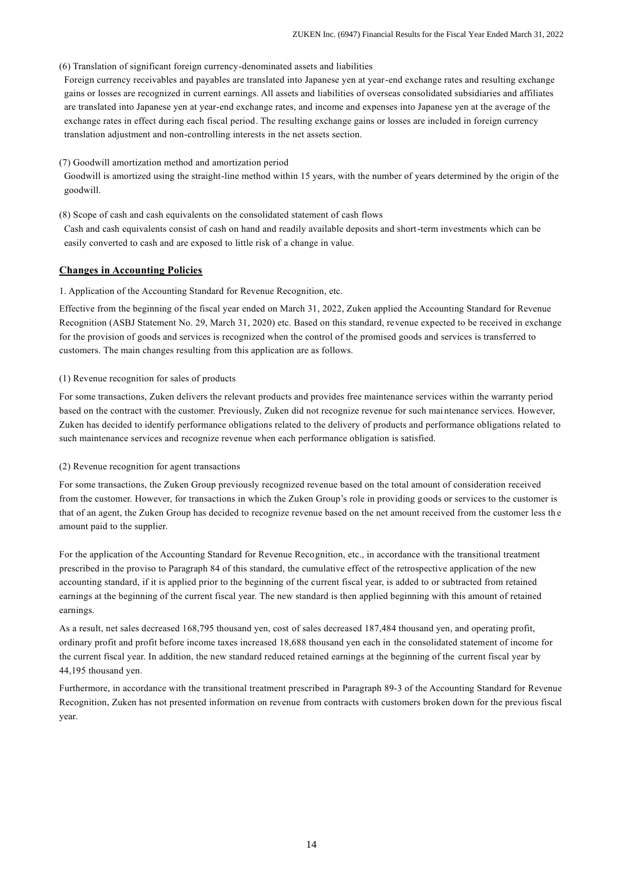#### (6) Translation of significant foreign currency-denominated assets and liabilities

Foreign currency receivables and payables are translated into Japanese yen at year-end exchange rates and resulting exchange gains or losses are recognized in current earnings. All assets and liabilities of overseas consolidated subsidiaries and affiliates are translated into Japanese yen at year-end exchange rates, and income and expenses into Japanese yen at the average of the exchange rates in effect during each fiscal period. The resulting exchange gains or losses are included in foreign currency translation adjustment and non-controlling interests in the net assets section.

#### (7) Goodwill amortization method and amortization period

Goodwill is amortized using the straight-line method within 15 years, with the number of years determined by the origin of the goodwill.

#### (8) Scope of cash and cash equivalents on the consolidated statement of cash flows

Cash and cash equivalents consist of cash on hand and readily available deposits and short-term investments which can be easily converted to cash and are exposed to little risk of a change in value.

### <span id="page-15-0"></span>**Changes in Accounting Policies**

#### 1. Application of the Accounting Standard for Revenue Recognition, etc.

Effective from the beginning of the fiscal year ended on March 31, 2022, Zuken applied the Accounting Standard for Revenue Recognition (ASBJ Statement No. 29, March 31, 2020) etc. Based on this standard, revenue expected to be received in exchange for the provision of goods and services is recognized when the control of the promised goods and services is transferred to customers. The main changes resulting from this application are as follows.

#### (1) Revenue recognition for sales of products

For some transactions, Zuken delivers the relevant products and provides free maintenance services within the warranty period based on the contract with the customer. Previously, Zuken did not recognize revenue for such maintenance services. However, Zuken has decided to identify performance obligations related to the delivery of products and performance obligations related to such maintenance services and recognize revenue when each performance obligation is satisfied.

#### (2) Revenue recognition for agent transactions

For some transactions, the Zuken Group previously recognized revenue based on the total amount of consideration received from the customer. However, for transactions in which the Zuken Group's role in providing goods or services to the customer is that of an agent, the Zuken Group has decided to recognize revenue based on the net amount received from the customer less th e amount paid to the supplier.

For the application of the Accounting Standard for Revenue Recognition, etc., in accordance with the transitional treatment prescribed in the proviso to Paragraph 84 of this standard, the cumulative effect of the retrospective application of the new accounting standard, if it is applied prior to the beginning of the current fiscal year, is added to or subtracted from retained earnings at the beginning of the current fiscal year. The new standard is then applied beginning with this amount of retained earnings.

As a result, net sales decreased 168,795 thousand yen, cost of sales decreased 187,484 thousand yen, and operating profit, ordinary profit and profit before income taxes increased 18,688 thousand yen each in the consolidated statement of income for the current fiscal year. In addition, the new standard reduced retained earnings at the beginning of the current fiscal year by 44,195 thousand yen.

Furthermore, in accordance with the transitional treatment prescribed in Paragraph 89-3 of the Accounting Standard for Revenue Recognition, Zuken has not presented information on revenue from contracts with customers broken down for the previous fiscal year.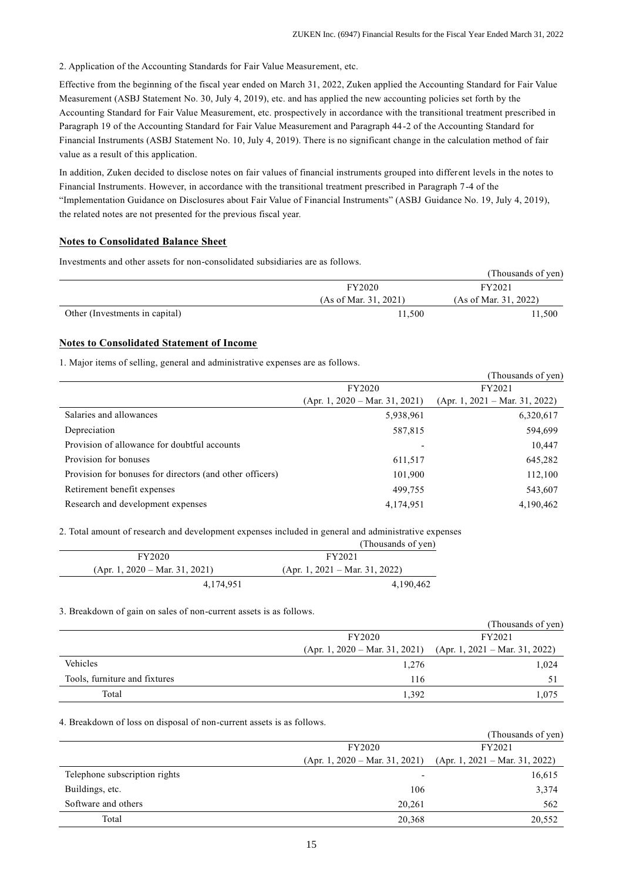2. Application of the Accounting Standards for Fair Value Measurement, etc.

Effective from the beginning of the fiscal year ended on March 31, 2022, Zuken applied the Accounting Standard for Fair Value Measurement (ASBJ Statement No. 30, July 4, 2019), etc. and has applied the new accounting policies set forth by the Accounting Standard for Fair Value Measurement, etc. prospectively in accordance with the transitional treatment prescribed in Paragraph 19 of the Accounting Standard for Fair Value Measurement and Paragraph 44-2 of the Accounting Standard for Financial Instruments (ASBJ Statement No. 10, July 4, 2019). There is no significant change in the calculation method of fair value as a result of this application.

In addition, Zuken decided to disclose notes on fair values of financial instruments grouped into different levels in the notes to Financial Instruments. However, in accordance with the transitional treatment prescribed in Paragraph 7-4 of the "Implementation Guidance on Disclosures about Fair Value of Financial Instruments" (ASBJ Guidance No. 19, July 4, 2019), the related notes are not presented for the previous fiscal year.

#### <span id="page-16-0"></span>**Notes to Consolidated Balance Sheet**

Investments and other assets for non-consolidated subsidiaries are as follows.

|                                |                       | (Thousands of yen)    |
|--------------------------------|-----------------------|-----------------------|
|                                | FY2020                | FY2021                |
|                                | (As of Mar. 31, 2021) | (As of Mar. 31, 2022) |
| Other (Investments in capital) | 1.500                 | 11.500                |

#### <span id="page-16-1"></span>**Notes to Consolidated Statement of Income**

1. Major items of selling, general and administrative expenses are as follows.

|                                  | (Thousands of yen)               |
|----------------------------------|----------------------------------|
| FY2020                           | FY2021                           |
| $(Apr. 1, 2020 - Mar. 31, 2021)$ | $(Apr. 1, 2021 - Mar. 31, 2022)$ |
| 5,938,961                        | 6,320,617                        |
| 587,815                          | 594,699                          |
|                                  | 10,447                           |
| 611,517                          | 645,282                          |
| 101,900                          | 112,100                          |
| 499,755                          | 543,607                          |
| 4,174,951                        | 4,190,462                        |
|                                  |                                  |

2. Total amount of research and development expenses included in general and administrative expenses

|                                  | (Thousands of yen)               |
|----------------------------------|----------------------------------|
| FY2020                           | FY2021                           |
| $(Apr. 1, 2020 - Mar. 31, 2021)$ | $(Apr. 1, 2021 - Mar. 31, 2022)$ |
| 4.174.951                        | 4,190,462                        |

3. Breakdown of gain on sales of non-current assets is as follows.

|                               |                                  | (Thousands of yen)               |
|-------------------------------|----------------------------------|----------------------------------|
|                               | FY2020                           | FY2021                           |
|                               | $(Apr. 1, 2020 - Mar. 31, 2021)$ | $(Apr. 1, 2021 - Mar. 31, 2022)$ |
| Vehicles                      | 1,276                            | 1,024                            |
| Tools, furniture and fixtures | 116                              |                                  |
| Total                         | 1.392                            | 1.075                            |

4. Breakdown of loss on disposal of non-current assets is as follows.

|                               |                                  | (Thousands of yen)               |
|-------------------------------|----------------------------------|----------------------------------|
|                               | FY2020                           | FY2021                           |
|                               | $(Apr. 1, 2020 - Mar. 31, 2021)$ | $(Apr. 1, 2021 - Mar. 31, 2022)$ |
| Telephone subscription rights |                                  | 16,615                           |
| Buildings, etc.               | 106                              | 3,374                            |
| Software and others           | 20.261                           | 562                              |
| Total                         | 20,368                           | 20,552                           |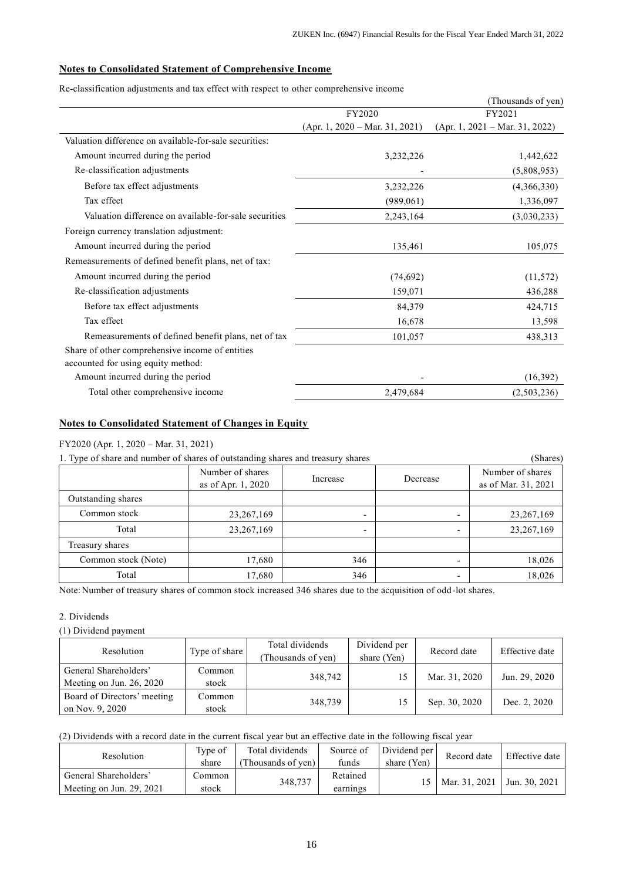# <span id="page-17-0"></span>**Notes to Consolidated Statement of Comprehensive Income**

Re-classification adjustments and tax effect with respect to other comprehensive income

|                                                        |                                  | (Thousands of yen)               |
|--------------------------------------------------------|----------------------------------|----------------------------------|
|                                                        | FY2020                           | FY2021                           |
|                                                        | $(Apr. 1, 2020 - Mar. 31, 2021)$ | $(Apr. 1, 2021 - Mar. 31, 2022)$ |
| Valuation difference on available-for-sale securities: |                                  |                                  |
| Amount incurred during the period                      | 3,232,226                        | 1,442,622                        |
| Re-classification adjustments                          |                                  | (5,808,953)                      |
| Before tax effect adjustments                          | 3,232,226                        | (4,366,330)                      |
| Tax effect                                             | (989,061)                        | 1,336,097                        |
| Valuation difference on available-for-sale securities  | 2,243,164                        | (3,030,233)                      |
| Foreign currency translation adjustment:               |                                  |                                  |
| Amount incurred during the period                      | 135,461                          | 105,075                          |
| Remeasurements of defined benefit plans, net of tax:   |                                  |                                  |
| Amount incurred during the period                      | (74, 692)                        | (11, 572)                        |
| Re-classification adjustments                          | 159,071                          | 436,288                          |
| Before tax effect adjustments                          | 84,379                           | 424,715                          |
| Tax effect                                             | 16,678                           | 13,598                           |
| Remeasurements of defined benefit plans, net of tax    | 101,057                          | 438,313                          |
| Share of other comprehensive income of entities        |                                  |                                  |
| accounted for using equity method:                     |                                  |                                  |
| Amount incurred during the period                      |                                  | (16,392)                         |
| Total other comprehensive income                       | 2,479,684                        | (2,503,236)                      |

# <span id="page-17-1"></span>**Notes to Consolidated Statement of Changes in Equity**

# FY2020 (Apr. 1, 2020 – Mar. 31, 2021)

| 1. Type of share and number of shares of outstanding shares and treasury shares | (Shares)                     |                          |          |                     |
|---------------------------------------------------------------------------------|------------------------------|--------------------------|----------|---------------------|
|                                                                                 | Number of shares<br>Increase |                          | Decrease | Number of shares    |
|                                                                                 | as of Apr. 1, 2020           |                          |          | as of Mar. 31, 2021 |
| Outstanding shares                                                              |                              |                          |          |                     |
| Common stock                                                                    | 23, 267, 169                 | $\overline{\phantom{0}}$ | -        | 23, 267, 169        |
| Total                                                                           | 23,267,169                   | $\overline{\phantom{0}}$ |          | 23, 267, 169        |
| Treasury shares                                                                 |                              |                          |          |                     |
| Common stock (Note)                                                             | 17,680                       | 346                      | -        | 18,026              |
| Total                                                                           | 17,680                       | 346                      | -        | 18,026              |

Note:Number of treasury shares of common stock increased 346 shares due to the acquisition of odd-lot shares.

#### 2. Dividends

(1) Dividend payment

| Resolution                                        | Type of share   | Total dividends<br>(Thousands of yen) | Dividend per<br>share (Yen) | Record date   | Effective date |
|---------------------------------------------------|-----------------|---------------------------------------|-----------------------------|---------------|----------------|
| General Shareholders'<br>Meeting on Jun. 26, 2020 | Common<br>stock | 348,742                               |                             | Mar. 31, 2020 | Jun. 29, 2020  |
| Board of Directors' meeting<br>on Nov. 9, 2020    | Common<br>stock | 348,739                               |                             | Sep. 30, 2020 | Dec. 2, 2020   |

(2) Dividends with a record date in the current fiscal year but an effective date in the following fiscal year

| Resolution                                        | Type of<br>share | Total dividends<br>(Thousands of yen) | Source of<br>funds   | Dividend per<br>share (Yen) | Record date                   | Effective date |
|---------------------------------------------------|------------------|---------------------------------------|----------------------|-----------------------------|-------------------------------|----------------|
| General Shareholders'<br>Meeting on Jun. 29, 2021 | ∴ommon<br>stock  | 348,737                               | Retained<br>earnings |                             | Mar. 31, 2021   Jun. 30, 2021 |                |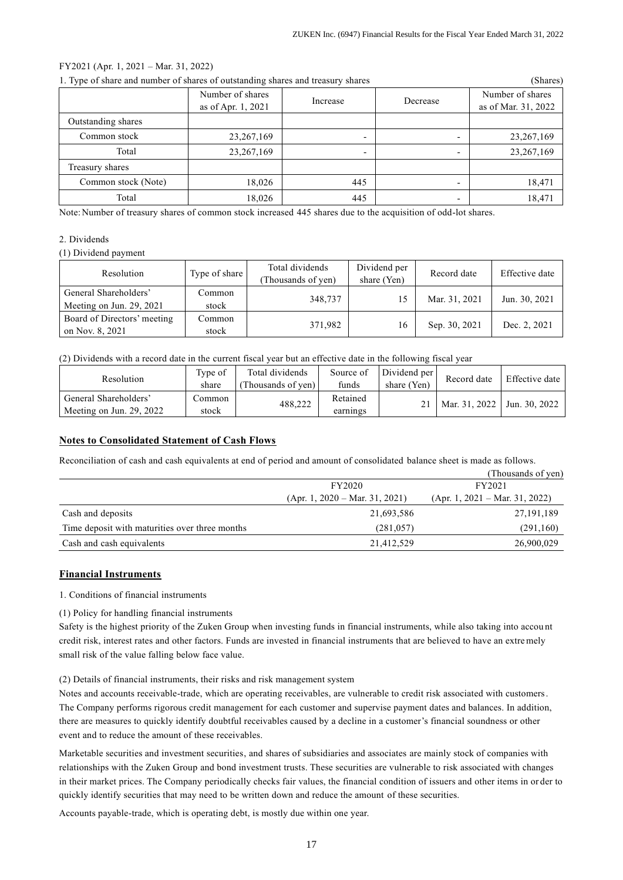#### FY2021 (Apr. 1, 2021 – Mar. 31, 2022)

| 1. Type of share and number of shares of outstanding shares and treasury shares | (Shares)                               |                          |          |                                         |
|---------------------------------------------------------------------------------|----------------------------------------|--------------------------|----------|-----------------------------------------|
|                                                                                 | Number of shares<br>as of Apr. 1, 2021 | Increase                 | Decrease | Number of shares<br>as of Mar. 31, 2022 |
| Outstanding shares                                                              |                                        |                          |          |                                         |
| Common stock                                                                    | 23, 267, 169                           | -                        |          | 23, 267, 169                            |
| Total                                                                           | 23, 267, 169                           | $\overline{\phantom{0}}$ | -        | 23, 267, 169                            |
| Treasury shares                                                                 |                                        |                          |          |                                         |
| Common stock (Note)                                                             | 18,026                                 | 445                      |          | 18,471                                  |
| Total                                                                           | 18,026                                 | 445                      |          | 18,471                                  |

Note:Number of treasury shares of common stock increased 445 shares due to the acquisition of odd-lot shares.

#### 2. Dividends

(1) Dividend payment

| Resolution                                        | Type of share   | Total dividends<br>(Thousands of yen) | Dividend per<br>share (Yen) | Record date   | Effective date |
|---------------------------------------------------|-----------------|---------------------------------------|-----------------------------|---------------|----------------|
| General Shareholders'<br>Meeting on Jun. 29, 2021 | Common<br>stock | 348,737                               |                             | Mar. 31, 2021 | Jun. 30, 2021  |
| Board of Directors' meeting<br>on Nov. 8, 2021    | Common<br>stock | 371.982                               |                             | Sep. 30, 2021 | Dec. 2, 2021   |

(2) Dividends with a record date in the current fiscal year but an effective date in the following fiscal year

| Resolution                                        | Type of<br>share | Total dividends<br>(Thousands of yen) | Source of<br>funds   | Dividend per<br>share (Yen) | Record date                   | Effective date |
|---------------------------------------------------|------------------|---------------------------------------|----------------------|-----------------------------|-------------------------------|----------------|
| General Shareholders'<br>Meeting on Jun. 29, 2022 | ∴ommon<br>stock  | 488.222                               | Retained<br>earnings | 21                          | Mar. 31, 2022   Jun. 30, 2022 |                |

#### <span id="page-18-0"></span>**Notes to Consolidated Statement of Cash Flows**

Reconciliation of cash and cash equivalents at end of period and amount of consolidated balance sheet is made as follows.

|                                                |                                  | (Thousands of yen)               |
|------------------------------------------------|----------------------------------|----------------------------------|
|                                                | FY2020                           | FY2021                           |
|                                                | $(Apr. 1, 2020 - Mar. 31, 2021)$ | $(Apr. 1, 2021 - Mar. 31, 2022)$ |
| Cash and deposits                              | 21,693,586                       | 27, 191, 189                     |
| Time deposit with maturities over three months | (281, 057)                       | (291, 160)                       |
| Cash and cash equivalents                      | 21,412,529                       | 26,900,029                       |

#### <span id="page-18-1"></span>**Financial Instruments**

1. Conditions of financial instruments

(1) Policy for handling financial instruments

Safety is the highest priority of the Zuken Group when investing funds in financial instruments, while also taking into accou nt credit risk, interest rates and other factors. Funds are invested in financial instruments that are believed to have an extremely small risk of the value falling below face value.

(2) Details of financial instruments, their risks and risk management system

Notes and accounts receivable-trade, which are operating receivables, are vulnerable to credit risk associated with customers. The Company performs rigorous credit management for each customer and supervise payment dates and balances. In addition, there are measures to quickly identify doubtful receivables caused by a decline in a customer's financial soundness or other event and to reduce the amount of these receivables.

Marketable securities and investment securities, and shares of subsidiaries and associates are mainly stock of companies with relationships with the Zuken Group and bond investment trusts. These securities are vulnerable to risk associated with changes in their market prices. The Company periodically checks fair values, the financial condition of issuers and other items in or der to quickly identify securities that may need to be written down and reduce the amount of these securities.

Accounts payable-trade, which is operating debt, is mostly due within one year.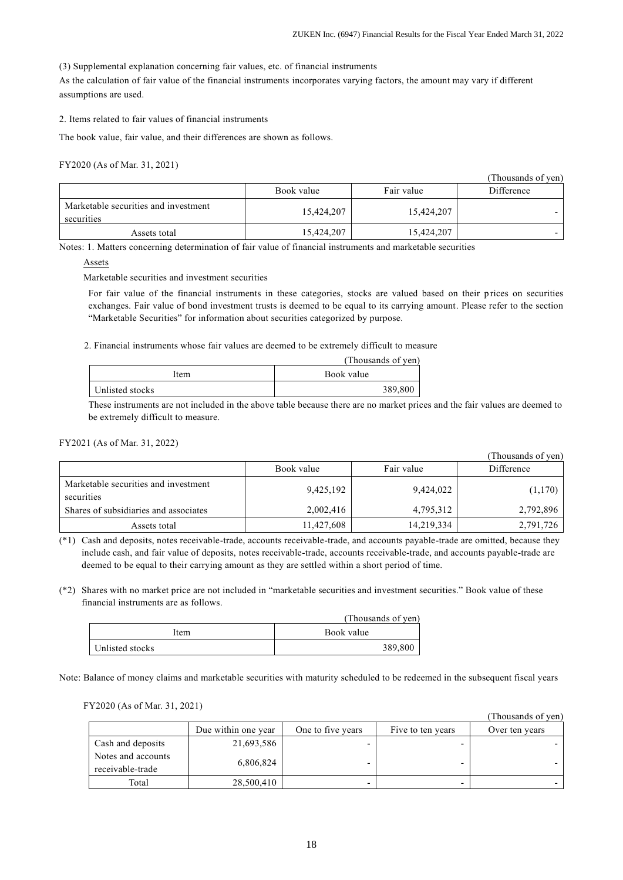(3) Supplemental explanation concerning fair values, etc. of financial instruments

As the calculation of fair value of the financial instruments incorporates varying factors, the amount may vary if different assumptions are used.

2. Items related to fair values of financial instruments

The book value, fair value, and their differences are shown as follows.

#### FY2020 (As of Mar. 31, 2021)

|                                                    |            |            | (Thousands of yen) |
|----------------------------------------------------|------------|------------|--------------------|
|                                                    | Book value | Fair value | Difference         |
| Marketable securities and investment<br>securities | 15,424,207 | 15,424,207 |                    |
| Assets total                                       | 15,424,207 | 15,424,207 |                    |

Notes: 1. Matters concerning determination of fair value of financial instruments and marketable securities

#### Assets

Marketable securities and investment securities

For fair value of the financial instruments in these categories, stocks are valued based on their prices on securities exchanges. Fair value of bond investment trusts is deemed to be equal to its carrying amount. Please refer to the section "Marketable Securities" for information about securities categorized by purpose.

2. Financial instruments whose fair values are deemed to be extremely difficult to measure

|                 | (Thousands of yen) |
|-----------------|--------------------|
| Item            | Book value         |
| Unlisted stocks | 389,800            |

These instruments are not included in the above table because there are no market prices and the fair values are deemed to be extremely difficult to measure.

#### FY2021 (As of Mar. 31, 2022)

|                                                    |            |            | (Thousands of yen) |
|----------------------------------------------------|------------|------------|--------------------|
|                                                    | Book value | Fair value | Difference         |
| Marketable securities and investment<br>securities | 9,425,192  | 9,424,022  | (1,170)            |
| Shares of subsidiaries and associates              | 2,002,416  | 4,795,312  | 2,792,896          |
| Assets total                                       | 11,427,608 | 14,219,334 | 2,791,726          |

(\*1) Cash and deposits, notes receivable-trade, accounts receivable-trade, and accounts payable-trade are omitted, because they include cash, and fair value of deposits, notes receivable-trade, accounts receivable-trade, and accounts payable-trade are deemed to be equal to their carrying amount as they are settled within a short period of time.

(\*2) Shares with no market price are not included in "marketable securities and investment securities." Book value of these financial instruments are as follows.

|                 | (Thousands of yen) |
|-----------------|--------------------|
| Item            | Book value         |
| Unlisted stocks | 389,800            |

Note: Balance of money claims and marketable securities with maturity scheduled to be redeemed in the subsequent fiscal years

#### FY2020 (As of Mar. 31, 2021)

|                                        |                     |                   |                   | (Thousands of yen) |
|----------------------------------------|---------------------|-------------------|-------------------|--------------------|
|                                        | Due within one year | One to five years | Five to ten years | Over ten years     |
| Cash and deposits                      | 21,693,586          |                   |                   |                    |
| Notes and accounts<br>receivable-trade | 6,806,824           |                   |                   |                    |
| Total                                  | 28,500,410          |                   |                   |                    |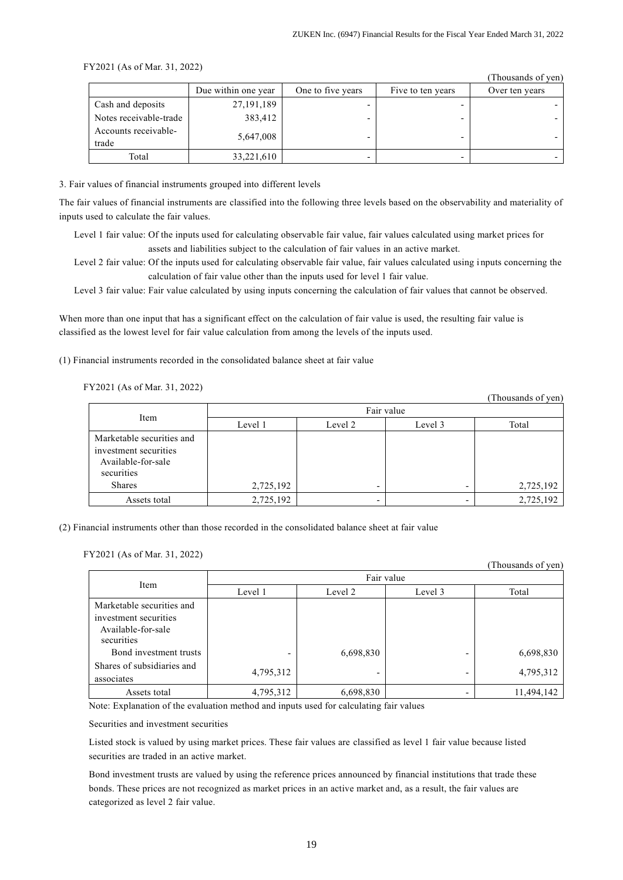#### FY2021 (As of Mar. 31, 2022)

|                        |                     |                   |                   | (Thousands of yen) |
|------------------------|---------------------|-------------------|-------------------|--------------------|
|                        | Due within one year | One to five years | Five to ten years | Over ten years     |
| Cash and deposits      | 27, 191, 189        |                   |                   |                    |
| Notes receivable-trade | 383,412             |                   |                   |                    |
| Accounts receivable-   | 5,647,008           |                   |                   |                    |
| trade                  |                     |                   |                   |                    |
| Total                  | 33,221,610          |                   |                   |                    |

3. Fair values of financial instruments grouped into different levels

The fair values of financial instruments are classified into the following three levels based on the observability and materiality of inputs used to calculate the fair values.

Level 1 fair value: Of the inputs used for calculating observable fair value, fair values calculated using market prices for assets and liabilities subject to the calculation of fair values in an active market.

Level 2 fair value: Of the inputs used for calculating observable fair value, fair values calculated using i nputs concerning the calculation of fair value other than the inputs used for level 1 fair value.

Level 3 fair value: Fair value calculated by using inputs concerning the calculation of fair values that cannot be observed.

When more than one input that has a significant effect on the calculation of fair value is used, the resulting fair value is classified as the lowest level for fair value calculation from among the levels of the inputs used.

(1) Financial instruments recorded in the consolidated balance sheet at fair value

FY2021 (As of Mar. 31, 2022)

|                                                                                        |           |         |            | (Thousands of yen) |
|----------------------------------------------------------------------------------------|-----------|---------|------------|--------------------|
|                                                                                        |           |         | Fair value |                    |
| Item                                                                                   | Level 1   | Level 2 | Level 3    | Total              |
| Marketable securities and<br>investment securities<br>Available-for-sale<br>securities |           |         |            |                    |
| <b>Shares</b>                                                                          | 2,725,192 | -       |            | 2,725,192          |
| Assets total                                                                           | 2,725,192 |         |            | 2,725,192          |

(2) Financial instruments other than those recorded in the consolidated balance sheet at fair value

FY2021 (As of Mar. 31, 2022)

Item Fair value Level 1 Level 2 Level 3 Total Marketable securities and investment securities Available-for-sale securities Bond investment trusts and the set of the set of the set of the set of the set of the set of the set of the set of the set of the set of the set of the set of the set of the set of the set of the set of the set of the set Shares of subsidiaries and  $4,795,312$   $4,795,312$   $4,795,312$ Assets total 11,494,142 (4,795,312 | 6,698,830 | 11,494,142

Note: Explanation of the evaluation method and inputs used for calculating fair values

Securities and investment securities

Listed stock is valued by using market prices. These fair values are classified as level 1 fair value because listed securities are traded in an active market.

Bond investment trusts are valued by using the reference prices announced by financial institutions that trade these bonds. These prices are not recognized as market prices in an active market and, as a result, the fair values are categorized as level 2 fair value.

(Thousands of yen)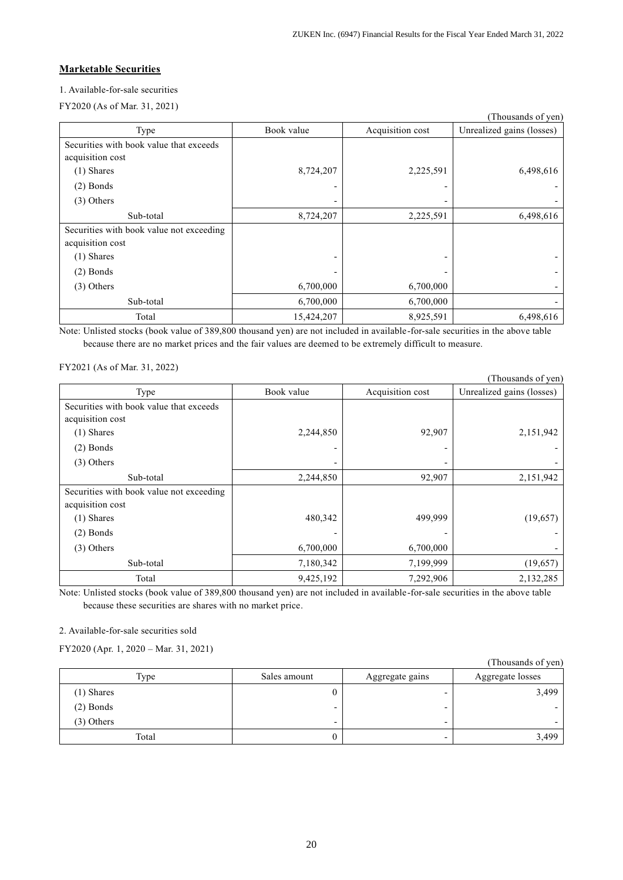# <span id="page-21-0"></span>**Marketable Securities**

# 1. Available-for-sale securities

FY2020 (As of Mar. 31, 2021)

| $1.12020$ (110 01 141 $0.51$ , $2021$ )  |            |                  | (Thousands of yen)        |
|------------------------------------------|------------|------------------|---------------------------|
| Type                                     | Book value | Acquisition cost | Unrealized gains (losses) |
| Securities with book value that exceeds  |            |                  |                           |
| acquisition cost                         |            |                  |                           |
| $(1)$ Shares                             | 8,724,207  | 2,225,591        | 6,498,616                 |
| $(2)$ Bonds                              |            |                  |                           |
| $(3)$ Others                             |            |                  |                           |
| Sub-total                                | 8,724,207  | 2,225,591        | 6,498,616                 |
| Securities with book value not exceeding |            |                  |                           |
| acquisition cost                         |            |                  |                           |
| $(1)$ Shares                             |            |                  |                           |
| $(2)$ Bonds                              |            |                  |                           |
| $(3)$ Others                             | 6,700,000  | 6,700,000        |                           |
| Sub-total                                | 6,700,000  | 6,700,000        |                           |
| Total                                    | 15,424,207 | 8,925,591        | 6,498,616                 |

Note: Unlisted stocks (book value of 389,800 thousand yen) are not included in available-for-sale securities in the above table because there are no market prices and the fair values are deemed to be extremely difficult to measure.

FY2021 (As of Mar. 31, 2022)

| $1 + 20 = 1$ (1.10 0.1  0.1, 2022)       |            |                  | (Thousands of yen)        |
|------------------------------------------|------------|------------------|---------------------------|
| Type                                     | Book value | Acquisition cost | Unrealized gains (losses) |
| Securities with book value that exceeds  |            |                  |                           |
| acquisition cost                         |            |                  |                           |
| $(1)$ Shares                             | 2,244,850  | 92,907           | 2,151,942                 |
| $(2)$ Bonds                              |            |                  |                           |
| $(3)$ Others                             |            |                  |                           |
| Sub-total                                | 2,244,850  | 92,907           | 2,151,942                 |
| Securities with book value not exceeding |            |                  |                           |
| acquisition cost                         |            |                  |                           |
| $(1)$ Shares                             | 480,342    | 499,999          | (19,657)                  |
| $(2)$ Bonds                              |            |                  |                           |
| $(3)$ Others                             | 6,700,000  | 6,700,000        |                           |
| Sub-total                                | 7,180,342  | 7,199,999        | (19, 657)                 |
| Total                                    | 9,425,192  | 7,292,906        | 2,132,285                 |

Note: Unlisted stocks (book value of 389,800 thousand yen) are not included in available-for-sale securities in the above table because these securities are shares with no market price.

#### 2. Available-for-sale securities sold

FY2020 (Apr. 1, 2020 – Mar. 31, 2021)

|             |              |                          | (Thousands of yen) |
|-------------|--------------|--------------------------|--------------------|
| Type        | Sales amount | Aggregate gains          | Aggregate losses   |
| (1) Shares  |              |                          | 3,499              |
| $(2)$ Bonds |              |                          |                    |
| (3) Others  | -            | $\overline{\phantom{a}}$ |                    |
| Total       |              |                          | 3,499              |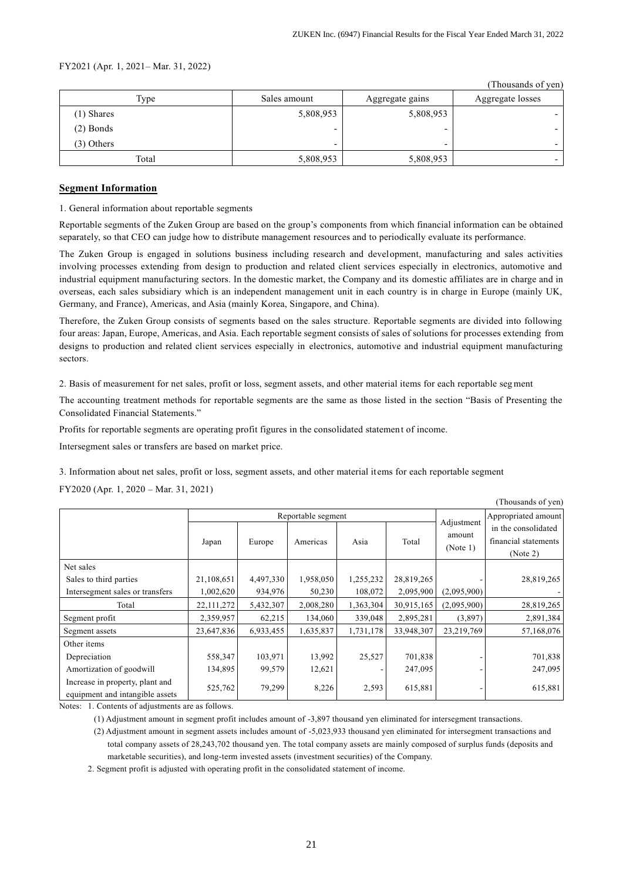#### FY2021 (Apr. 1, 2021– Mar. 31, 2022)

|             |              |                          | (Thousands of yen) |
|-------------|--------------|--------------------------|--------------------|
| Type        | Sales amount | Aggregate gains          | Aggregate losses   |
| (1) Shares  | 5,808,953    | 5,808,953                |                    |
| $(2)$ Bonds |              | -                        |                    |
| (3) Others  |              | $\overline{\phantom{0}}$ |                    |
| Total       | 5,808,953    | 5,808,953                |                    |

#### <span id="page-22-0"></span>**Segment Information**

1. General information about reportable segments

Reportable segments of the Zuken Group are based on the group's components from which financial information can be obtained separately, so that CEO can judge how to distribute management resources and to periodically evaluate its performance.

The Zuken Group is engaged in solutions business including research and development, manufacturing and sales activities involving processes extending from design to production and related client services especially in electronics, automotive and industrial equipment manufacturing sectors. In the domestic market, the Company and its domestic affiliates are in charge and in overseas, each sales subsidiary which is an independent management unit in each country is in charge in Europe (mainly UK, Germany, and France), Americas, and Asia (mainly Korea, Singapore, and China).

Therefore, the Zuken Group consists of segments based on the sales structure. Reportable segments are divided into following four areas: Japan, Europe, Americas, and Asia. Each reportable segment consists of sales of solutions for processes extending from designs to production and related client services especially in electronics, automotive and industrial equipment manufacturing sectors.

2. Basis of measurement for net sales, profit or loss, segment assets, and other material items for each reportable segment

The accounting treatment methods for reportable segments are the same as those listed in the section "Basis of Presenting the Consolidated Financial Statements."

Profits for reportable segments are operating profit figures in the consolidated statement of income.

Intersegment sales or transfers are based on market price.

3. Information about net sales, profit or loss, segment assets, and other material items for each reportable segment

FY2020 (Apr. 1, 2020 – Mar. 31, 2021)

| (Thousands of yen)                                                 |              |                    |           |           |            |                    |                      |
|--------------------------------------------------------------------|--------------|--------------------|-----------|-----------|------------|--------------------|----------------------|
|                                                                    |              | Reportable segment |           |           |            |                    | Appropriated amount  |
|                                                                    |              |                    |           |           |            | Adjustment         | in the consolidated  |
|                                                                    | Japan        | Europe             | Americas  | Asia      | Total      | amount<br>(Note 1) | financial statements |
|                                                                    |              |                    |           |           |            |                    | (Note 2)             |
| Net sales                                                          |              |                    |           |           |            |                    |                      |
| Sales to third parties                                             | 21,108,651   | 4,497,330          | 1,958,050 | 1,255,232 | 28,819,265 |                    | 28,819,265           |
| Intersegment sales or transfers                                    | 1,002,620    | 934,976            | 50,230    | 108,072   | 2,095,900  | (2,095,900)        |                      |
| Total                                                              | 22, 111, 272 | 5,432,307          | 2,008,280 | 1,363,304 | 30,915,165 | (2,095,900)        | 28,819,265           |
| Segment profit                                                     | 2,359,957    | 62,215             | 134,060   | 339,048   | 2,895,281  | (3,897)            | 2,891,384            |
| Segment assets                                                     | 23,647,836   | 6,933,455          | 1,635,837 | 1,731,178 | 33,948,307 | 23,219,769         | 57,168,076           |
| Other items                                                        |              |                    |           |           |            |                    |                      |
| Depreciation                                                       | 558,347      | 103,971            | 13,992    | 25,527    | 701,838    |                    | 701,838              |
| Amortization of goodwill                                           | 134,895      | 99,579             | 12,621    |           | 247,095    |                    | 247,095              |
| Increase in property, plant and<br>equipment and intangible assets | 525,762      | 79,299             | 8,226     | 2,593     | 615,881    |                    | 615,881              |

Notes: 1. Contents of adjustments are as follows.

(1) Adjustment amount in segment profit includes amount of -3,897 thousand yen eliminated for intersegment transactions.

(2) Adjustment amount in segment assets includes amount of -5,023,933 thousand yen eliminated for intersegment transactions and total company assets of 28,243,702 thousand yen. The total company assets are mainly composed of surplus funds (deposits and marketable securities), and long-term invested assets (investment securities) of the Company.

2. Segment profit is adjusted with operating profit in the consolidated statement of income.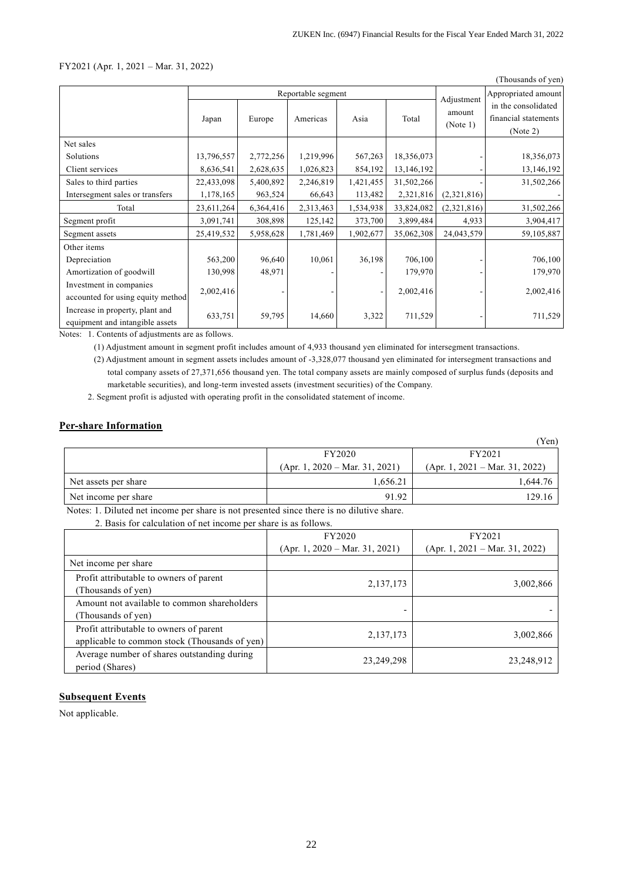#### FY2021 (Apr. 1, 2021 – Mar. 31, 2022)

| (Thousands of yen)                |                    |           |           |           |                     |                                  |                                             |
|-----------------------------------|--------------------|-----------|-----------|-----------|---------------------|----------------------------------|---------------------------------------------|
|                                   | Reportable segment |           |           |           | Appropriated amount |                                  |                                             |
|                                   | Japan              | Europe    | Americas  | Asia      | Total               | Adjustment<br>amount<br>(Note 1) | in the consolidated<br>financial statements |
|                                   |                    |           |           | (Note 2)  |                     |                                  |                                             |
| Net sales                         |                    |           |           |           |                     |                                  |                                             |
| Solutions                         | 13,796,557         | 2,772,256 | 1,219,996 | 567,263   | 18,356,073          |                                  | 18,356,073                                  |
| Client services                   | 8,636,541          | 2,628,635 | 1,026,823 | 854,192   | 13,146,192          |                                  | 13,146,192                                  |
| Sales to third parties            | 22,433,098         | 5,400,892 | 2,246,819 | 1,421,455 | 31,502,266          |                                  | 31,502,266                                  |
| Intersegment sales or transfers   | 1,178,165          | 963,524   | 66,643    | 113,482   | 2,321,816           | (2,321,816)                      |                                             |
| Total                             | 23,611,264         | 6,364,416 | 2,313,463 | 1,534,938 | 33,824,082          | (2,321,816)                      | 31,502,266                                  |
| Segment profit                    | 3,091,741          | 308,898   | 125,142   | 373,700   | 3,899,484           | 4,933                            | 3,904,417                                   |
| Segment assets                    | 25,419,532         | 5,958,628 | 1,781,469 | 1,902,677 | 35,062,308          | 24,043,579                       | 59,105,887                                  |
| Other items                       |                    |           |           |           |                     |                                  |                                             |
| Depreciation                      | 563,200            | 96,640    | 10,061    | 36,198    | 706,100             |                                  | 706,100                                     |
| Amortization of goodwill          | 130,998            | 48,971    |           |           | 179,970             |                                  | 179,970                                     |
| Investment in companies           | 2,002,416          |           |           |           | 2,002,416           |                                  | 2,002,416                                   |
| accounted for using equity method |                    |           |           |           |                     |                                  |                                             |
| Increase in property, plant and   | 633,751            | 59,795    | 14,660    | 3,322     | 711,529             |                                  | 711,529                                     |
| equipment and intangible assets   |                    |           |           |           |                     |                                  |                                             |

Notes: 1. Contents of adjustments are as follows.

(1) Adjustment amount in segment profit includes amount of 4,933 thousand yen eliminated for intersegment transactions.

(2) Adjustment amount in segment assets includes amount of -3,328,077 thousand yen eliminated for intersegment transactions and total company assets of 27,371,656 thousand yen. The total company assets are mainly composed of surplus funds (deposits and marketable securities), and long-term invested assets (investment securities) of the Company.

2. Segment profit is adjusted with operating profit in the consolidated statement of income.

#### <span id="page-23-0"></span>**Per-share Information**

|                      |                                  | (Yen)                            |
|----------------------|----------------------------------|----------------------------------|
|                      | FY2020                           | FY2021                           |
|                      | $(Apr. 1, 2020 - Mar. 31, 2021)$ | $(Apr. 1, 2021 - Mar. 31, 2022)$ |
| Net assets per share | 1.656.21                         | 1,644.76                         |
| Net income per share | 91.92                            | 129.16                           |

Notes: 1. Diluted net income per share is not presented since there is no dilutive share.

2. Basis for calculation of net income per share is as follows.

|                                               | FY2020                           | FY2021                           |
|-----------------------------------------------|----------------------------------|----------------------------------|
|                                               | $(Apr. 1, 2020 - Mar. 31, 2021)$ | $(Apr. 1, 2021 - Mar. 31, 2022)$ |
| Net income per share                          |                                  |                                  |
| Profit attributable to owners of parent       | 2,137,173                        | 3,002,866                        |
| (Thousands of yen)                            |                                  |                                  |
| Amount not available to common shareholders   |                                  |                                  |
| (Thousands of yen)                            |                                  |                                  |
| Profit attributable to owners of parent       | 2,137,173                        | 3,002,866                        |
| applicable to common stock (Thousands of yen) |                                  |                                  |
| Average number of shares outstanding during   | 23,249,298                       | 23,248,912                       |
| period (Shares)                               |                                  |                                  |

#### <span id="page-23-1"></span>**Subsequent Events**

Not applicable.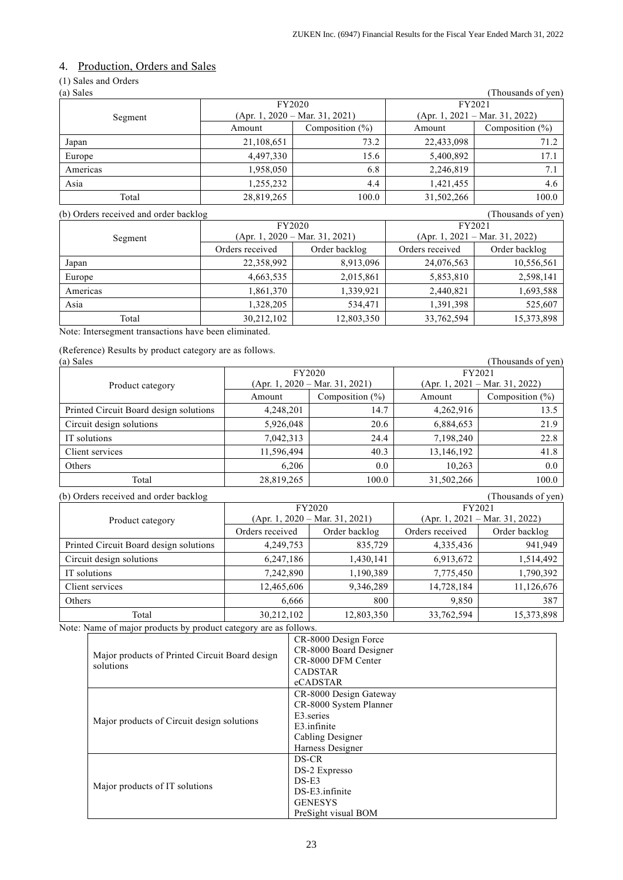# <span id="page-24-0"></span>4. Production, Orders and Sales

# (1) Sales and Orders

| (a) Sales |            |                                  |            | (Thousands of yen)               |  |  |
|-----------|------------|----------------------------------|------------|----------------------------------|--|--|
|           | FY2020     |                                  |            | FY2021                           |  |  |
| Segment   |            | $(Apr. 1, 2020 - Mar. 31, 2021)$ |            | $(Apr. 1, 2021 - Mar. 31, 2022)$ |  |  |
|           | Amount     | Composition $(\% )$              | Amount     | Composition $(\% )$              |  |  |
| Japan     | 21,108,651 | 73.2                             | 22,433,098 | 71.2                             |  |  |
| Europe    | 4,497,330  | 15.6                             | 5,400,892  | 17.1                             |  |  |
| Americas  | 1,958,050  | 6.8                              | 2,246,819  | 7.1                              |  |  |
| Asia      | 1,255,232  | 4.4                              | 1,421,455  | 4.6                              |  |  |
| Total     | 28,819,265 | 100.0                            | 31,502,266 | 100.0                            |  |  |

| (b) Orders received and order backlog |                 |                                  |                 | (Thousands of yen)               |
|---------------------------------------|-----------------|----------------------------------|-----------------|----------------------------------|
|                                       | FY2020          |                                  | FY2021          |                                  |
| Segment                               |                 | $(Apr. 1, 2020 - Mar. 31, 2021)$ |                 | $(Apr. 1, 2021 - Mar. 31, 2022)$ |
|                                       | Orders received | Order backlog                    | Orders received | Order backlog                    |
| Japan                                 | 22,358,992      | 8,913,096                        | 24,076,563      | 10,556,561                       |
| Europe                                | 4,663,535       | 2,015,861                        | 5,853,810       | 2,598,141                        |
| Americas                              | 1,861,370       | 1,339,921                        | 2,440,821       | 1,693,588                        |
| Asia                                  | 1,328,205       | 534,471                          | 1,391,398       | 525,607                          |
| Total                                 | 30,212,102      | 12,803,350                       | 33,762,594      | 15,373,898                       |

Note: Intersegment transactions have been eliminated.

(Reference) Results by product category are as follows.<br>(a) Salac

| (a) Sales                              |            |                                  |            | Thousands of yen)                |
|----------------------------------------|------------|----------------------------------|------------|----------------------------------|
|                                        |            | FY2020                           |            | FY2021                           |
| Product category                       |            | $(Apr. 1, 2020 - Mar. 31, 2021)$ |            | $(Apr. 1, 2021 - Mar. 31, 2022)$ |
|                                        | Amount     | Composition $(\% )$              | Amount     | Composition $(\% )$              |
| Printed Circuit Board design solutions | 4,248,201  | 14.7                             | 4,262,916  | 13.5                             |
| Circuit design solutions               | 5,926,048  | 20.6                             | 6,884,653  | 21.9                             |
| IT solutions                           | 7,042,313  | 24.4                             | 7,198,240  | 22.8                             |
| Client services                        | 11,596,494 | 40.3                             | 13,146,192 | 41.8                             |
| Others                                 | 6.206      | 0.0                              | 10.263     | 0.0                              |
| Total                                  | 28,819,265 | 100.0                            | 31,502,266 | 100.0                            |

#### (b) Orders received and order backlog (Thousands of yen)

| $\sigma$ or $\sigma$ or $\sigma$ or $\sigma$ and $\sigma$ or $\sigma$ or $\sigma$ or $\sigma$<br>Thousands of you'r |                                  |               |                 |                                  |
|---------------------------------------------------------------------------------------------------------------------|----------------------------------|---------------|-----------------|----------------------------------|
|                                                                                                                     |                                  | FY2020        | FY2021          |                                  |
| Product category                                                                                                    | $(Apr. 1, 2020 - Mar. 31, 2021)$ |               |                 | $(Apr. 1, 2021 - Mar. 31, 2022)$ |
|                                                                                                                     | Orders received                  | Order backlog | Orders received | Order backlog                    |
| Printed Circuit Board design solutions                                                                              | 4,249,753                        | 835,729       | 4,335,436       | 941,949                          |
| Circuit design solutions                                                                                            | 6,247,186                        | 1,430,141     | 6,913,672       | 1,514,492                        |
| IT solutions                                                                                                        | 7,242,890                        | 1,190,389     | 7,775,450       | 1,790,392                        |
| Client services                                                                                                     | 12,465,606                       | 9,346,289     | 14,728,184      | 11,126,676                       |
| Others                                                                                                              | 6,666                            | 800           | 9,850           | 387                              |
| Total                                                                                                               | 30,212,102                       | 12,803,350    | 33,762,594      | 15,373,898                       |

Note: Name of major products by product category are as follows.

|                                                             | CR-8000 Design Force   |
|-------------------------------------------------------------|------------------------|
|                                                             | CR-8000 Board Designer |
| Major products of Printed Circuit Board design<br>solutions | CR-8000 DFM Center     |
|                                                             | <b>CADSTAR</b>         |
|                                                             | eCADSTAR               |
|                                                             | CR-8000 Design Gateway |
|                                                             | CR-8000 System Planner |
|                                                             | E3.series              |
| Major products of Circuit design solutions                  | E3.infinite            |
|                                                             | Cabling Designer       |
|                                                             | Harness Designer       |
|                                                             | DS-CR                  |
|                                                             | DS-2 Expresso          |
| Major products of IT solutions                              | $DS-E3$                |
|                                                             | DS-E3.infinite         |
|                                                             | <b>GENESYS</b>         |
|                                                             | PreSight visual BOM    |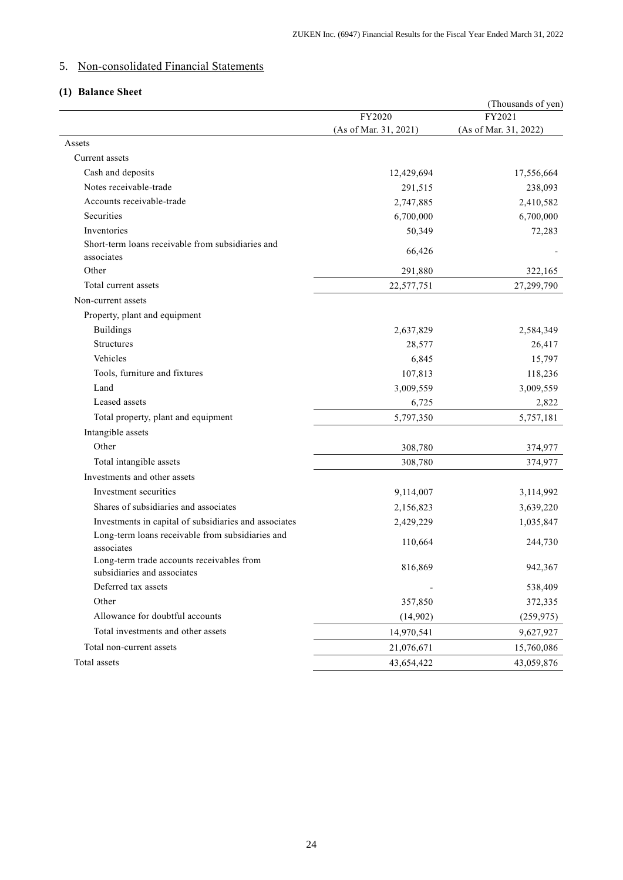# <span id="page-25-0"></span>5. Non-consolidated Financial Statements

# <span id="page-25-1"></span>**(1) Balance Sheet**

|                                                                          |                       | (Thousands of yen)    |
|--------------------------------------------------------------------------|-----------------------|-----------------------|
|                                                                          | FY2020                | FY2021                |
|                                                                          | (As of Mar. 31, 2021) | (As of Mar. 31, 2022) |
| Assets                                                                   |                       |                       |
| Current assets                                                           |                       |                       |
| Cash and deposits                                                        | 12,429,694            | 17,556,664            |
| Notes receivable-trade                                                   | 291,515               | 238,093               |
| Accounts receivable-trade                                                | 2,747,885             | 2,410,582             |
| Securities                                                               | 6,700,000             | 6,700,000             |
| Inventories                                                              | 50,349                | 72,283                |
| Short-term loans receivable from subsidiaries and<br>associates          | 66,426                |                       |
| Other                                                                    | 291,880               | 322,165               |
| Total current assets                                                     | 22,577,751            | 27,299,790            |
| Non-current assets                                                       |                       |                       |
| Property, plant and equipment                                            |                       |                       |
| <b>Buildings</b>                                                         | 2,637,829             | 2,584,349             |
| <b>Structures</b>                                                        | 28,577                | 26,417                |
| Vehicles                                                                 | 6,845                 | 15,797                |
| Tools, furniture and fixtures                                            | 107,813               | 118,236               |
| Land                                                                     | 3,009,559             | 3,009,559             |
| Leased assets                                                            | 6,725                 | 2,822                 |
| Total property, plant and equipment                                      | 5,797,350             | 5,757,181             |
| Intangible assets                                                        |                       |                       |
| Other                                                                    | 308,780               | 374,977               |
| Total intangible assets                                                  | 308,780               | 374,977               |
| Investments and other assets                                             |                       |                       |
| Investment securities                                                    | 9,114,007             | 3,114,992             |
| Shares of subsidiaries and associates                                    | 2,156,823             | 3,639,220             |
| Investments in capital of subsidiaries and associates                    | 2,429,229             | 1,035,847             |
| Long-term loans receivable from subsidiaries and<br>associates           | 110,664               | 244,730               |
| Long-term trade accounts receivables from<br>subsidiaries and associates | 816,869               | 942,367               |
| Deferred tax assets                                                      |                       | 538,409               |
| Other                                                                    | 357,850               | 372,335               |
| Allowance for doubtful accounts                                          | (14,902)              | (259, 975)            |
| Total investments and other assets                                       | 14,970,541            | 9,627,927             |
| Total non-current assets                                                 | 21,076,671            | 15,760,086            |
| Total assets                                                             | 43,654,422            | 43,059,876            |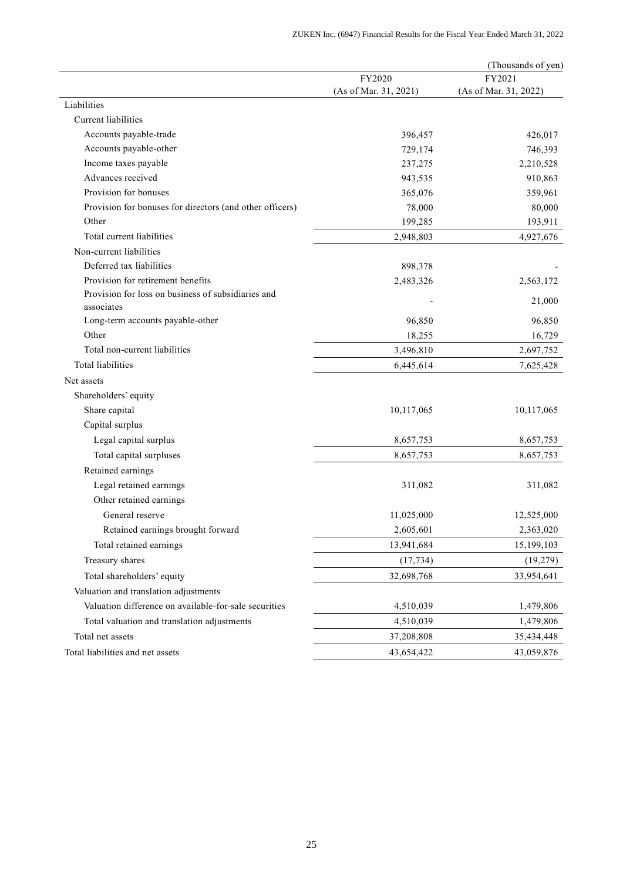|                                                          |                       | (Thousands of yen)    |
|----------------------------------------------------------|-----------------------|-----------------------|
|                                                          | FY2020                | FY2021                |
|                                                          | (As of Mar. 31, 2021) | (As of Mar. 31, 2022) |
| Liabilities                                              |                       |                       |
| Current liabilities                                      |                       |                       |
| Accounts payable-trade                                   | 396,457               | 426,017               |
| Accounts payable-other                                   | 729,174               | 746,393               |
| Income taxes payable                                     | 237,275               | 2,210,528             |
| Advances received                                        | 943,535               | 910,863               |
| Provision for bonuses                                    | 365,076               | 359,961               |
| Provision for bonuses for directors (and other officers) | 78,000                | 80,000                |
| Other                                                    | 199,285               | 193,911               |
| Total current liabilities                                | 2,948,803             | 4,927,676             |
| Non-current liabilities                                  |                       |                       |
| Deferred tax liabilities                                 | 898,378               |                       |
| Provision for retirement benefits                        | 2,483,326             | 2,563,172             |
| Provision for loss on business of subsidiaries and       |                       | 21,000                |
| associates<br>Long-term accounts payable-other           |                       |                       |
| Other                                                    | 96,850                | 96,850                |
| Total non-current liabilities                            | 18,255                | 16,729                |
|                                                          | 3,496,810             | 2,697,752             |
| Total liabilities                                        | 6,445,614             | 7,625,428             |
| Net assets                                               |                       |                       |
| Shareholders' equity                                     |                       |                       |
| Share capital                                            | 10,117,065            | 10,117,065            |
| Capital surplus                                          |                       |                       |
| Legal capital surplus                                    | 8,657,753             | 8,657,753             |
| Total capital surpluses                                  | 8,657,753             | 8,657,753             |
| Retained earnings                                        |                       |                       |
| Legal retained earnings                                  | 311,082               | 311,082               |
| Other retained earnings                                  |                       |                       |
| General reserve                                          | 11,025,000            | 12,525,000            |
| Retained earnings brought forward                        | 2,605,601             | 2,363,020             |
| Total retained earnings                                  | 13,941,684            | 15, 199, 103          |
| Treasury shares                                          | (17, 734)             | (19,279)              |
| Total shareholders' equity                               | 32,698,768            | 33,954,641            |
| Valuation and translation adjustments                    |                       |                       |
| Valuation difference on available-for-sale securities    | 4,510,039             | 1,479,806             |
| Total valuation and translation adjustments              | 4,510,039             | 1,479,806             |
| Total net assets                                         | 37,208,808            | 35,434,448            |
| Total liabilities and net assets                         | 43,654,422            | 43,059,876            |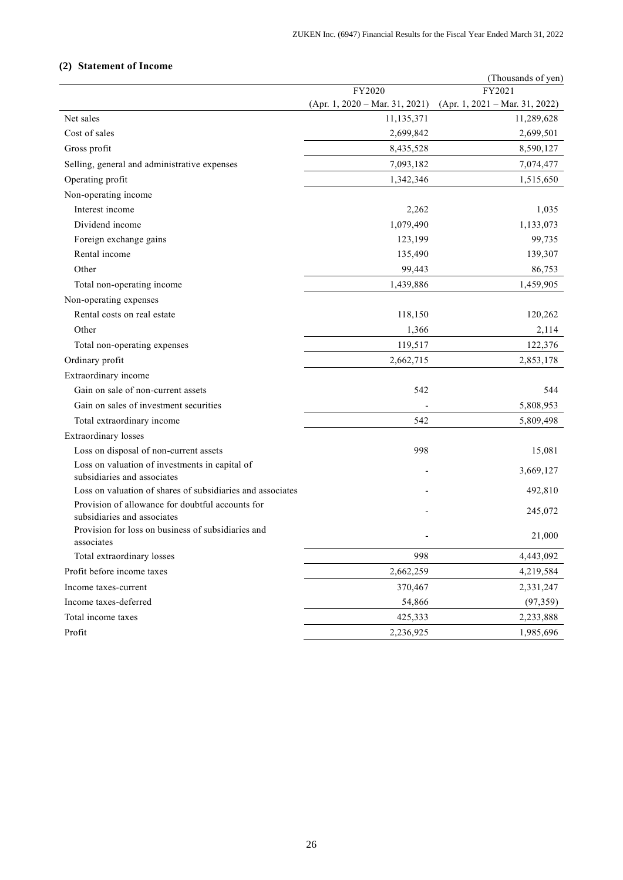# <span id="page-27-0"></span>**(2) Statement of Income**

|                                                                                 |                                  | (Thousands of yen)               |
|---------------------------------------------------------------------------------|----------------------------------|----------------------------------|
|                                                                                 | FY2020                           | FY2021                           |
|                                                                                 | $(Apr. 1, 2020 - Mar. 31, 2021)$ | $(Apr. 1, 2021 - Mar. 31, 2022)$ |
| Net sales                                                                       | 11,135,371                       | 11,289,628                       |
| Cost of sales                                                                   | 2,699,842                        | 2,699,501                        |
| Gross profit                                                                    | 8,435,528                        | 8,590,127                        |
| Selling, general and administrative expenses                                    | 7,093,182                        | 7,074,477                        |
| Operating profit                                                                | 1,342,346                        | 1,515,650                        |
| Non-operating income                                                            |                                  |                                  |
| Interest income                                                                 | 2,262                            | 1,035                            |
| Dividend income                                                                 | 1,079,490                        | 1,133,073                        |
| Foreign exchange gains                                                          | 123,199                          | 99,735                           |
| Rental income                                                                   | 135,490                          | 139,307                          |
| Other                                                                           | 99,443                           | 86,753                           |
| Total non-operating income                                                      | 1,439,886                        | 1,459,905                        |
| Non-operating expenses                                                          |                                  |                                  |
| Rental costs on real estate                                                     | 118,150                          | 120,262                          |
| Other                                                                           | 1,366                            | 2,114                            |
| Total non-operating expenses                                                    | 119,517                          | 122,376                          |
| Ordinary profit                                                                 | 2,662,715                        | 2,853,178                        |
| Extraordinary income                                                            |                                  |                                  |
| Gain on sale of non-current assets                                              | 542                              | 544                              |
| Gain on sales of investment securities                                          |                                  | 5,808,953                        |
| Total extraordinary income                                                      | 542                              | 5,809,498                        |
| Extraordinary losses                                                            |                                  |                                  |
| Loss on disposal of non-current assets                                          | 998                              | 15,081                           |
| Loss on valuation of investments in capital of<br>subsidiaries and associates   |                                  | 3,669,127                        |
| Loss on valuation of shares of subsidiaries and associates                      |                                  | 492,810                          |
| Provision of allowance for doubtful accounts for<br>subsidiaries and associates |                                  | 245,072                          |
| Provision for loss on business of subsidiaries and<br>associates                |                                  | 21,000                           |
| Total extraordinary losses                                                      | 998                              | 4,443,092                        |
| Profit before income taxes                                                      | 2,662,259                        | 4,219,584                        |
| Income taxes-current                                                            | 370,467                          | 2,331,247                        |
| Income taxes-deferred                                                           | 54,866                           | (97, 359)                        |
| Total income taxes                                                              | 425,333                          | 2,233,888                        |
| Profit                                                                          | 2,236,925                        | 1,985,696                        |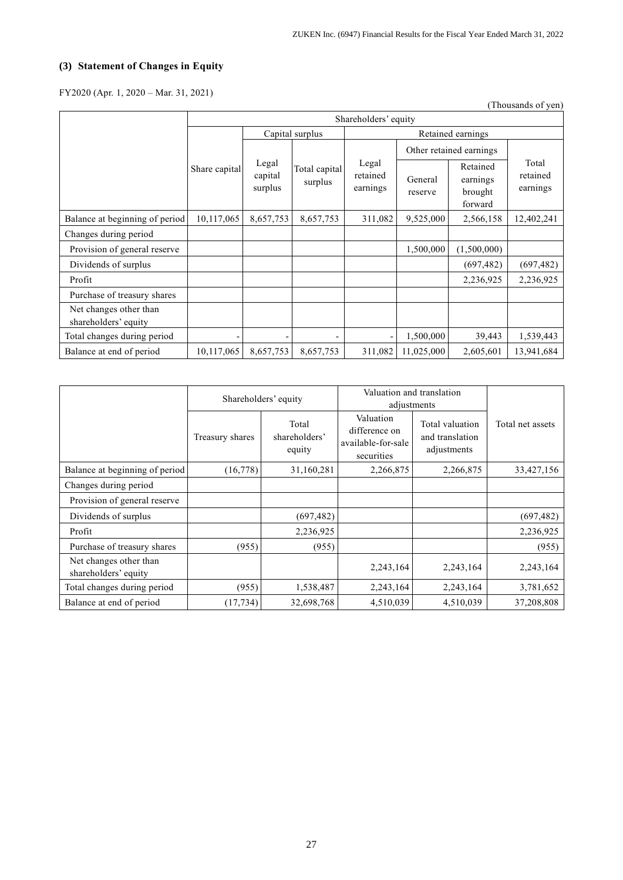# <span id="page-28-0"></span>**(3) Statement of Changes in Equity**

| FY2020 (Apr. 1, 2020 – Mar. 31, 2021) |  |  |  |
|---------------------------------------|--|--|--|
|                                       |  |  |  |

|                                                |                      |                             |                          |                               |                    |                                            | (Thousands of yen)            |  |
|------------------------------------------------|----------------------|-----------------------------|--------------------------|-------------------------------|--------------------|--------------------------------------------|-------------------------------|--|
|                                                | Shareholders' equity |                             |                          |                               |                    |                                            |                               |  |
|                                                |                      | Capital surplus             |                          | Retained earnings             |                    |                                            |                               |  |
|                                                |                      |                             |                          |                               |                    |                                            | Other retained earnings       |  |
|                                                | Share capital        | Legal<br>capital<br>surplus | Total capital<br>surplus | Legal<br>retained<br>earnings | General<br>reserve | Retained<br>earnings<br>brought<br>forward | Total<br>retained<br>earnings |  |
| Balance at beginning of period                 | 10,117,065           | 8,657,753                   | 8,657,753                | 311,082                       | 9,525,000          | 2,566,158                                  | 12,402,241                    |  |
| Changes during period                          |                      |                             |                          |                               |                    |                                            |                               |  |
| Provision of general reserve                   |                      |                             |                          |                               | 1,500,000          | (1,500,000)                                |                               |  |
| Dividends of surplus                           |                      |                             |                          |                               |                    | (697, 482)                                 | (697, 482)                    |  |
| Profit                                         |                      |                             |                          |                               |                    | 2,236,925                                  | 2,236,925                     |  |
| Purchase of treasury shares                    |                      |                             |                          |                               |                    |                                            |                               |  |
| Net changes other than<br>shareholders' equity |                      |                             |                          |                               |                    |                                            |                               |  |
| Total changes during period                    |                      |                             |                          |                               | 1,500,000          | 39,443                                     | 1,539,443                     |  |
| Balance at end of period                       | 10,117,065           | 8,657,753                   | 8,657,753                | 311,082                       | 11,025,000         | 2,605,601                                  | 13,941,684                    |  |

|                                                | Shareholders' equity |                                  | Valuation and translation<br>adjustments                       |                                                   |                  |
|------------------------------------------------|----------------------|----------------------------------|----------------------------------------------------------------|---------------------------------------------------|------------------|
|                                                | Treasury shares      | Total<br>shareholders'<br>equity | Valuation<br>difference on<br>available-for-sale<br>securities | Total valuation<br>and translation<br>adjustments | Total net assets |
| Balance at beginning of period                 | (16, 778)            | 31,160,281                       | 2,266,875                                                      | 2,266,875                                         | 33,427,156       |
| Changes during period                          |                      |                                  |                                                                |                                                   |                  |
| Provision of general reserve                   |                      |                                  |                                                                |                                                   |                  |
| Dividends of surplus                           |                      | (697, 482)                       |                                                                |                                                   | (697, 482)       |
| Profit                                         |                      | 2,236,925                        |                                                                |                                                   | 2,236,925        |
| Purchase of treasury shares                    | (955)                | (955)                            |                                                                |                                                   | (955)            |
| Net changes other than<br>shareholders' equity |                      |                                  | 2,243,164                                                      | 2,243,164                                         | 2,243,164        |
| Total changes during period                    | (955)                | 1,538,487                        | 2,243,164                                                      | 2,243,164                                         | 3,781,652        |
| Balance at end of period                       | (17, 734)            | 32,698,768                       | 4,510,039                                                      | 4,510,039                                         | 37,208,808       |

27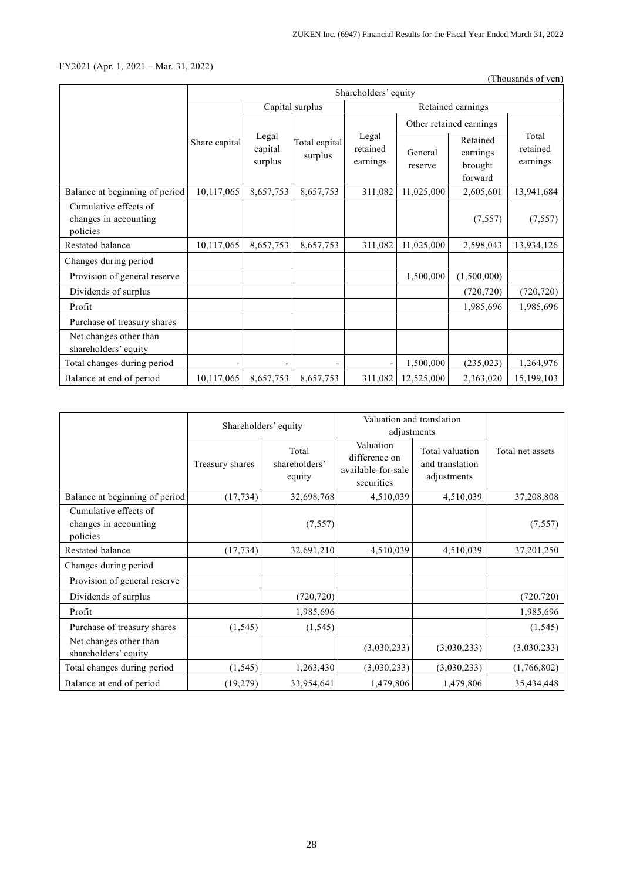# FY2021 (Apr. 1, 2021 – Mar. 31, 2022)

(Thousands of yen)

|                                                            | Shareholders' equity |                             |                          |                               |                         |                                            |                               |
|------------------------------------------------------------|----------------------|-----------------------------|--------------------------|-------------------------------|-------------------------|--------------------------------------------|-------------------------------|
|                                                            |                      |                             | Capital surplus          |                               | Retained earnings       |                                            |                               |
|                                                            |                      |                             |                          |                               | Other retained earnings |                                            |                               |
|                                                            | Share capital        | Legal<br>capital<br>surplus | Total capital<br>surplus | Legal<br>retained<br>earnings | General<br>reserve      | Retained<br>earnings<br>brought<br>forward | Total<br>retained<br>earnings |
| Balance at beginning of period                             | 10,117,065           | 8,657,753                   | 8,657,753                | 311,082                       | 11,025,000              | 2,605,601                                  | 13,941,684                    |
| Cumulative effects of<br>changes in accounting<br>policies |                      |                             |                          |                               |                         | (7,557)                                    | (7, 557)                      |
| Restated balance                                           | 10,117,065           | 8,657,753                   | 8,657,753                | 311,082                       | 11,025,000              | 2,598,043                                  | 13,934,126                    |
| Changes during period                                      |                      |                             |                          |                               |                         |                                            |                               |
| Provision of general reserve                               |                      |                             |                          |                               | 1,500,000               | (1,500,000)                                |                               |
| Dividends of surplus                                       |                      |                             |                          |                               |                         | (720, 720)                                 | (720, 720)                    |
| Profit                                                     |                      |                             |                          |                               |                         | 1,985,696                                  | 1,985,696                     |
| Purchase of treasury shares                                |                      |                             |                          |                               |                         |                                            |                               |
| Net changes other than<br>shareholders' equity             |                      |                             |                          |                               |                         |                                            |                               |
| Total changes during period                                |                      |                             |                          |                               | 1,500,000               | (235, 023)                                 | 1,264,976                     |
| Balance at end of period                                   | 10,117,065           | 8,657,753                   | 8,657,753                | 311,082                       | 12,525,000              | 2,363,020                                  | 15,199,103                    |

|                                                            | Shareholders' equity |                                  | Valuation and translation<br>adjustments                       |                                                   |                  |
|------------------------------------------------------------|----------------------|----------------------------------|----------------------------------------------------------------|---------------------------------------------------|------------------|
|                                                            | Treasury shares      | Total<br>shareholders'<br>equity | Valuation<br>difference on<br>available-for-sale<br>securities | Total valuation<br>and translation<br>adjustments | Total net assets |
| Balance at beginning of period                             | (17, 734)            | 32,698,768                       | 4,510,039                                                      | 4,510,039                                         | 37,208,808       |
| Cumulative effects of<br>changes in accounting<br>policies |                      | (7,557)                          |                                                                |                                                   | (7,557)          |
| Restated balance                                           | (17, 734)            | 32,691,210                       | 4,510,039                                                      | 4,510,039                                         | 37,201,250       |
| Changes during period                                      |                      |                                  |                                                                |                                                   |                  |
| Provision of general reserve                               |                      |                                  |                                                                |                                                   |                  |
| Dividends of surplus                                       |                      | (720, 720)                       |                                                                |                                                   | (720, 720)       |
| Profit                                                     |                      | 1,985,696                        |                                                                |                                                   | 1,985,696        |
| Purchase of treasury shares                                | (1, 545)             | (1, 545)                         |                                                                |                                                   | (1, 545)         |
| Net changes other than<br>shareholders' equity             |                      |                                  | (3,030,233)                                                    | (3,030,233)                                       | (3,030,233)      |
| Total changes during period                                | (1, 545)             | 1,263,430                        | (3,030,233)                                                    | (3,030,233)                                       | (1,766,802)      |
| Balance at end of period                                   | (19,279)             | 33,954,641                       | 1,479,806                                                      | 1,479,806                                         | 35,434,448       |